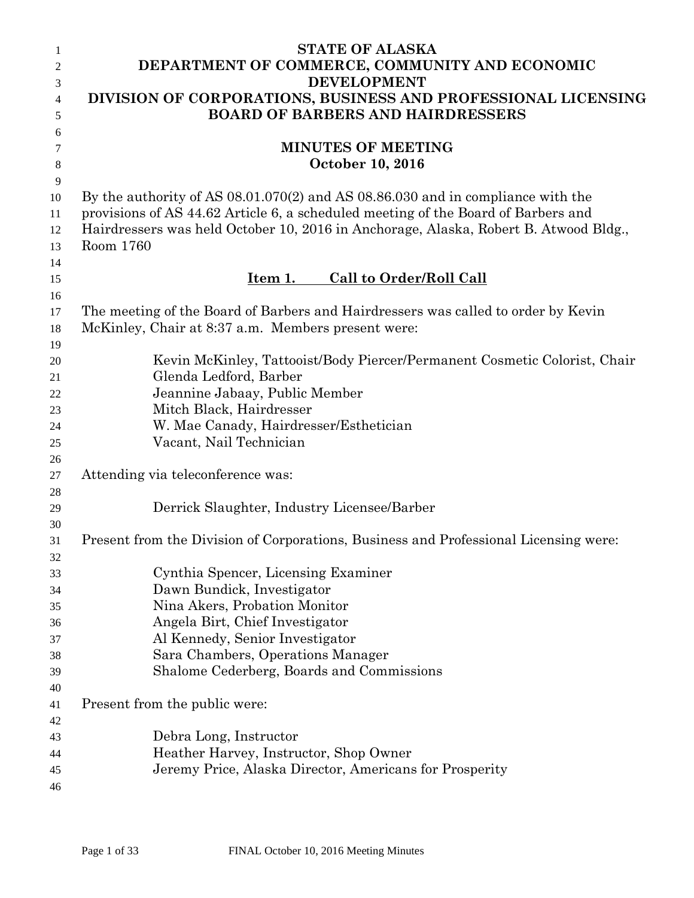| $\mathbf{1}$   | <b>STATE OF ALASKA</b>                                                               |  |  |  |
|----------------|--------------------------------------------------------------------------------------|--|--|--|
| 2              | DEPARTMENT OF COMMERCE, COMMUNITY AND ECONOMIC                                       |  |  |  |
| 3              | <b>DEVELOPMENT</b>                                                                   |  |  |  |
| $\overline{4}$ | DIVISION OF CORPORATIONS, BUSINESS AND PROFESSIONAL LICENSING                        |  |  |  |
| 5              | <b>BOARD OF BARBERS AND HAIRDRESSERS</b>                                             |  |  |  |
| 6              |                                                                                      |  |  |  |
| 7              | <b>MINUTES OF MEETING</b>                                                            |  |  |  |
| $8\phantom{1}$ | October 10, 2016                                                                     |  |  |  |
| 9              |                                                                                      |  |  |  |
| 10             | By the authority of AS $08.01.070(2)$ and AS $08.86.030$ and in compliance with the  |  |  |  |
| 11             | provisions of AS 44.62 Article 6, a scheduled meeting of the Board of Barbers and    |  |  |  |
| 12             | Hairdressers was held October 10, 2016 in Anchorage, Alaska, Robert B. Atwood Bldg., |  |  |  |
| 13             | Room 1760                                                                            |  |  |  |
| 14             | <b>Call to Order/Roll Call</b><br>Item 1.                                            |  |  |  |
| 15<br>16       |                                                                                      |  |  |  |
| 17             | The meeting of the Board of Barbers and Hairdressers was called to order by Kevin    |  |  |  |
| 18             | McKinley, Chair at 8:37 a.m. Members present were:                                   |  |  |  |
| 19             |                                                                                      |  |  |  |
| 20             | Kevin McKinley, Tattooist/Body Piercer/Permanent Cosmetic Colorist, Chair            |  |  |  |
| 21             | Glenda Ledford, Barber                                                               |  |  |  |
| 22             | Jeannine Jabaay, Public Member                                                       |  |  |  |
| 23             | Mitch Black, Hairdresser                                                             |  |  |  |
| 24             | W. Mae Canady, Hairdresser/Esthetician                                               |  |  |  |
| 25             | Vacant, Nail Technician                                                              |  |  |  |
| 26             |                                                                                      |  |  |  |
| 27             | Attending via teleconference was:                                                    |  |  |  |
| 28             |                                                                                      |  |  |  |
| 29             | Derrick Slaughter, Industry Licensee/Barber                                          |  |  |  |
| 30             |                                                                                      |  |  |  |
| 31             | Present from the Division of Corporations, Business and Professional Licensing were: |  |  |  |
| 32             |                                                                                      |  |  |  |
| 33             | Cynthia Spencer, Licensing Examiner                                                  |  |  |  |
| 34             | Dawn Bundick, Investigator                                                           |  |  |  |
| 35             | Nina Akers, Probation Monitor                                                        |  |  |  |
| 36             | Angela Birt, Chief Investigator                                                      |  |  |  |
| 37             | Al Kennedy, Senior Investigator                                                      |  |  |  |
| 38             | Sara Chambers, Operations Manager                                                    |  |  |  |
| 39             | Shalome Cederberg, Boards and Commissions                                            |  |  |  |
| 40             |                                                                                      |  |  |  |
| 41             | Present from the public were:                                                        |  |  |  |
| 42             |                                                                                      |  |  |  |
| 43             | Debra Long, Instructor                                                               |  |  |  |
| 44             | Heather Harvey, Instructor, Shop Owner                                               |  |  |  |
| 45             | Jeremy Price, Alaska Director, Americans for Prosperity                              |  |  |  |
| 46             |                                                                                      |  |  |  |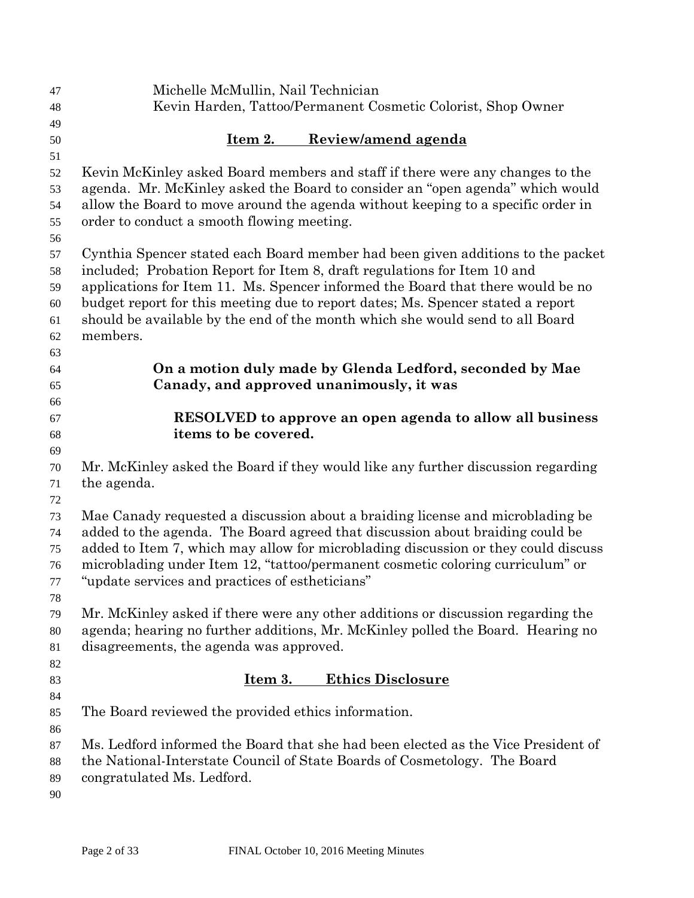| 47 | Michelle McMullin, Nail Technician                                                 |  |  |  |  |  |
|----|------------------------------------------------------------------------------------|--|--|--|--|--|
| 48 | Kevin Harden, Tattoo/Permanent Cosmetic Colorist, Shop Owner                       |  |  |  |  |  |
| 49 |                                                                                    |  |  |  |  |  |
| 50 | Review/amend agenda<br>Item 2.                                                     |  |  |  |  |  |
| 51 |                                                                                    |  |  |  |  |  |
| 52 | Kevin McKinley asked Board members and staff if there were any changes to the      |  |  |  |  |  |
| 53 | agenda. Mr. McKinley asked the Board to consider an "open agenda" which would      |  |  |  |  |  |
| 54 | allow the Board to move around the agenda without keeping to a specific order in   |  |  |  |  |  |
| 55 | order to conduct a smooth flowing meeting.                                         |  |  |  |  |  |
| 56 |                                                                                    |  |  |  |  |  |
| 57 | Cynthia Spencer stated each Board member had been given additions to the packet    |  |  |  |  |  |
| 58 | included; Probation Report for Item 8, draft regulations for Item 10 and           |  |  |  |  |  |
| 59 | applications for Item 11. Ms. Spencer informed the Board that there would be no    |  |  |  |  |  |
| 60 | budget report for this meeting due to report dates; Ms. Spencer stated a report    |  |  |  |  |  |
| 61 | should be available by the end of the month which she would send to all Board      |  |  |  |  |  |
| 62 | members.                                                                           |  |  |  |  |  |
| 63 |                                                                                    |  |  |  |  |  |
| 64 | On a motion duly made by Glenda Ledford, seconded by Mae                           |  |  |  |  |  |
| 65 | Canady, and approved unanimously, it was                                           |  |  |  |  |  |
| 66 |                                                                                    |  |  |  |  |  |
| 67 | <b>RESOLVED</b> to approve an open agenda to allow all business                    |  |  |  |  |  |
| 68 | items to be covered.                                                               |  |  |  |  |  |
| 69 |                                                                                    |  |  |  |  |  |
| 70 | Mr. McKinley asked the Board if they would like any further discussion regarding   |  |  |  |  |  |
| 71 | the agenda.                                                                        |  |  |  |  |  |
| 72 |                                                                                    |  |  |  |  |  |
| 73 | Mae Canady requested a discussion about a braiding license and microblading be     |  |  |  |  |  |
| 74 | added to the agenda. The Board agreed that discussion about braiding could be      |  |  |  |  |  |
| 75 | added to Item 7, which may allow for microblading discussion or they could discuss |  |  |  |  |  |
| 76 | microblading under Item 12, "tattoo/permanent cosmetic coloring curriculum" or     |  |  |  |  |  |
| 77 | "update services and practices of estheticians"                                    |  |  |  |  |  |
| 78 |                                                                                    |  |  |  |  |  |
| 79 | Mr. McKinley asked if there were any other additions or discussion regarding the   |  |  |  |  |  |
| 80 | agenda; hearing no further additions, Mr. McKinley polled the Board. Hearing no    |  |  |  |  |  |
| 81 | disagreements, the agenda was approved.                                            |  |  |  |  |  |
| 82 |                                                                                    |  |  |  |  |  |
| 83 | <b>Ethics Disclosure</b><br>Item 3.                                                |  |  |  |  |  |
| 84 |                                                                                    |  |  |  |  |  |
| 85 | The Board reviewed the provided ethics information.                                |  |  |  |  |  |
| 86 |                                                                                    |  |  |  |  |  |
| 87 | Ms. Ledford informed the Board that she had been elected as the Vice President of  |  |  |  |  |  |
| 88 | the National-Interstate Council of State Boards of Cosmetology. The Board          |  |  |  |  |  |
| 89 | congratulated Ms. Ledford.                                                         |  |  |  |  |  |
| 90 |                                                                                    |  |  |  |  |  |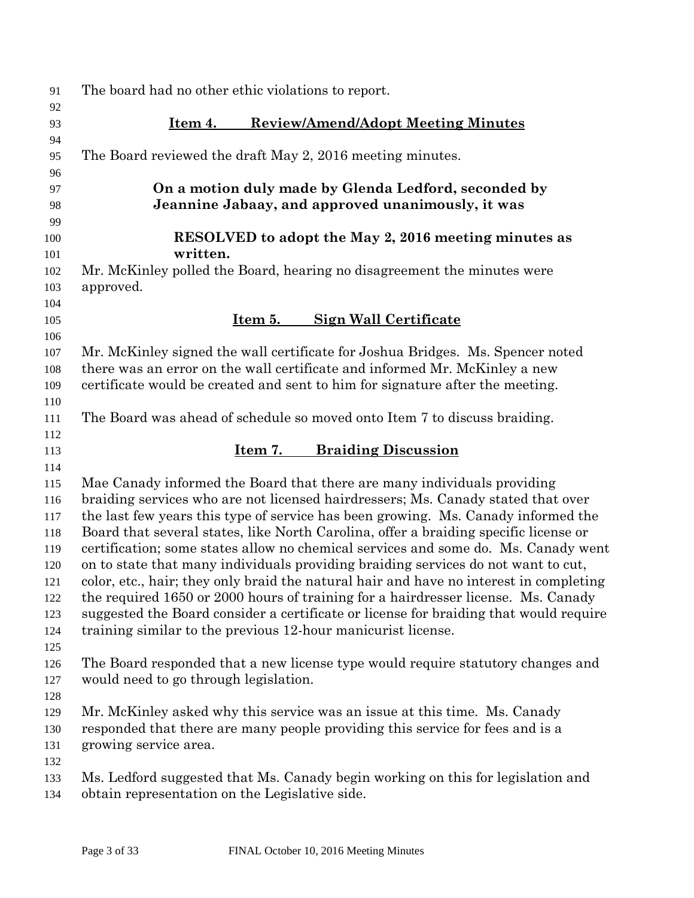| 91         | The board had no other ethic violations to report.                                                                                                                    |  |  |  |
|------------|-----------------------------------------------------------------------------------------------------------------------------------------------------------------------|--|--|--|
| 92         |                                                                                                                                                                       |  |  |  |
| 93         | <b>Review/Amend/Adopt Meeting Minutes</b><br>Item 4.                                                                                                                  |  |  |  |
| 94         |                                                                                                                                                                       |  |  |  |
| 95         | The Board reviewed the draft May 2, 2016 meeting minutes.                                                                                                             |  |  |  |
| 96         |                                                                                                                                                                       |  |  |  |
| 97         | On a motion duly made by Glenda Ledford, seconded by                                                                                                                  |  |  |  |
| 98<br>99   | Jeannine Jabaay, and approved unanimously, it was                                                                                                                     |  |  |  |
| 100        | RESOLVED to adopt the May 2, 2016 meeting minutes as                                                                                                                  |  |  |  |
| 101        | written.                                                                                                                                                              |  |  |  |
| 102        | Mr. McKinley polled the Board, hearing no disagreement the minutes were                                                                                               |  |  |  |
| 103        | approved.                                                                                                                                                             |  |  |  |
| 104        |                                                                                                                                                                       |  |  |  |
| 105        | <b>Sign Wall Certificate</b><br><u>Item 5.</u>                                                                                                                        |  |  |  |
| 106        |                                                                                                                                                                       |  |  |  |
| 107        | Mr. McKinley signed the wall certificate for Joshua Bridges. Ms. Spencer noted                                                                                        |  |  |  |
| 108        | there was an error on the wall certificate and informed Mr. McKinley a new                                                                                            |  |  |  |
| 109        | certificate would be created and sent to him for signature after the meeting.                                                                                         |  |  |  |
| 110        |                                                                                                                                                                       |  |  |  |
| 111        | The Board was ahead of schedule so moved onto Item 7 to discuss braiding.                                                                                             |  |  |  |
| 112        |                                                                                                                                                                       |  |  |  |
| 113        | <b>Braiding Discussion</b><br>Item 7.                                                                                                                                 |  |  |  |
| 114        |                                                                                                                                                                       |  |  |  |
| 115        | Mae Canady informed the Board that there are many individuals providing                                                                                               |  |  |  |
| 116        | braiding services who are not licensed hairdressers; Ms. Canady stated that over<br>the last few years this type of service has been growing. Ms. Canady informed the |  |  |  |
| 117<br>118 | Board that several states, like North Carolina, offer a braiding specific license or                                                                                  |  |  |  |
| 119        | certification; some states allow no chemical services and some do. Ms. Canady went                                                                                    |  |  |  |
| 120        | on to state that many individuals providing braiding services do not want to cut,                                                                                     |  |  |  |
| 121        | color, etc., hair; they only braid the natural hair and have no interest in completing                                                                                |  |  |  |
| 122        | the required 1650 or 2000 hours of training for a hairdresser license. Ms. Canady                                                                                     |  |  |  |
| 123        | suggested the Board consider a certificate or license for braiding that would require                                                                                 |  |  |  |
| 124        | training similar to the previous 12-hour manicurist license.                                                                                                          |  |  |  |
| 125        |                                                                                                                                                                       |  |  |  |
| 126        | The Board responded that a new license type would require statutory changes and                                                                                       |  |  |  |
| 127        | would need to go through legislation.                                                                                                                                 |  |  |  |
| 128        |                                                                                                                                                                       |  |  |  |
| 129        | Mr. McKinley asked why this service was an issue at this time. Ms. Canady                                                                                             |  |  |  |
| 130        | responded that there are many people providing this service for fees and is a                                                                                         |  |  |  |
| 131        | growing service area.                                                                                                                                                 |  |  |  |
| 132        |                                                                                                                                                                       |  |  |  |
| 133        | Ms. Ledford suggested that Ms. Canady begin working on this for legislation and                                                                                       |  |  |  |
| 134        | obtain representation on the Legislative side.                                                                                                                        |  |  |  |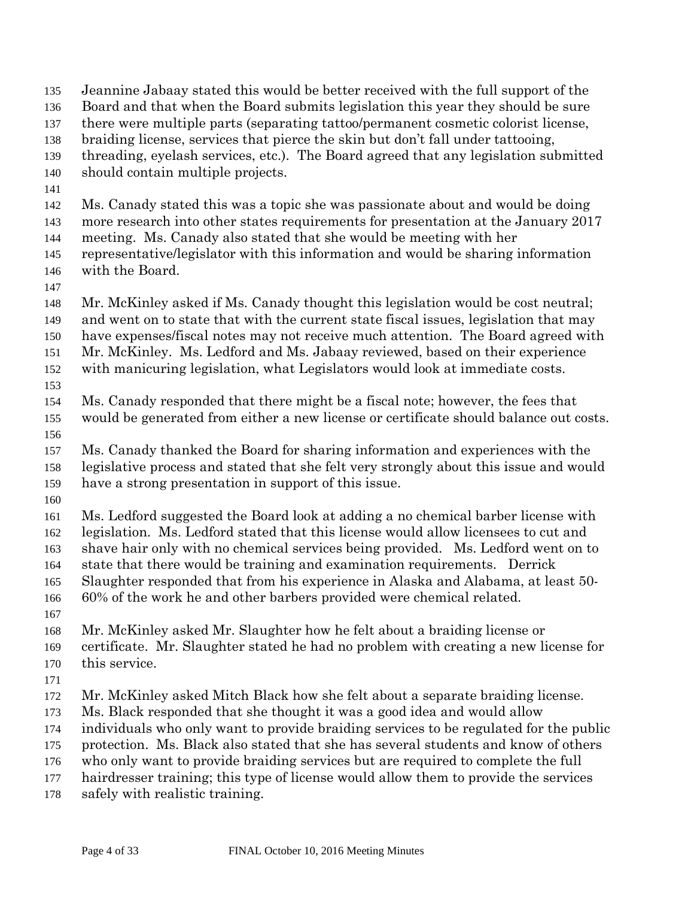Jeannine Jabaay stated this would be better received with the full support of the Board and that when the Board submits legislation this year they should be sure there were multiple parts (separating tattoo/permanent cosmetic colorist license, braiding license, services that pierce the skin but don't fall under tattooing, threading, eyelash services, etc.). The Board agreed that any legislation submitted should contain multiple projects. Ms. Canady stated this was a topic she was passionate about and would be doing more research into other states requirements for presentation at the January 2017 meeting. Ms. Canady also stated that she would be meeting with her representative/legislator with this information and would be sharing information with the Board. Mr. McKinley asked if Ms. Canady thought this legislation would be cost neutral; and went on to state that with the current state fiscal issues, legislation that may have expenses/fiscal notes may not receive much attention. The Board agreed with Mr. McKinley. Ms. Ledford and Ms. Jabaay reviewed, based on their experience with manicuring legislation, what Legislators would look at immediate costs. Ms. Canady responded that there might be a fiscal note; however, the fees that would be generated from either a new license or certificate should balance out costs. Ms. Canady thanked the Board for sharing information and experiences with the legislative process and stated that she felt very strongly about this issue and would have a strong presentation in support of this issue. Ms. Ledford suggested the Board look at adding a no chemical barber license with legislation. Ms. Ledford stated that this license would allow licensees to cut and shave hair only with no chemical services being provided. Ms. Ledford went on to state that there would be training and examination requirements. Derrick Slaughter responded that from his experience in Alaska and Alabama, at least 50- 60% of the work he and other barbers provided were chemical related. Mr. McKinley asked Mr. Slaughter how he felt about a braiding license or certificate. Mr. Slaughter stated he had no problem with creating a new license for this service. Mr. McKinley asked Mitch Black how she felt about a separate braiding license. Ms. Black responded that she thought it was a good idea and would allow individuals who only want to provide braiding services to be regulated for the public protection. Ms. Black also stated that she has several students and know of others who only want to provide braiding services but are required to complete the full hairdresser training; this type of license would allow them to provide the services safely with realistic training.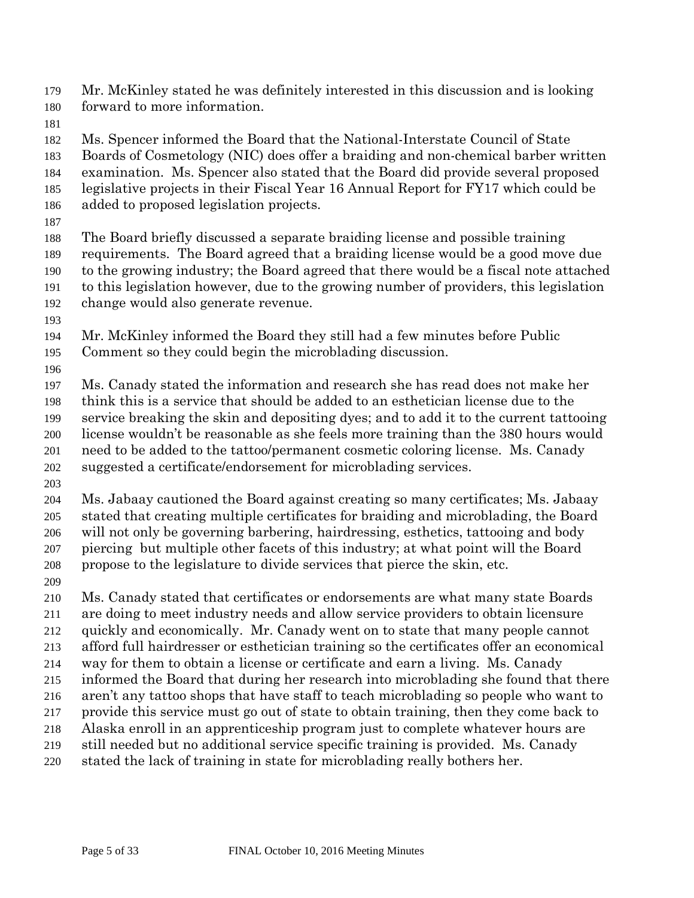Mr. McKinley stated he was definitely interested in this discussion and is looking

- forward to more information.
- 

Ms. Spencer informed the Board that the National-Interstate Council of State

Boards of Cosmetology (NIC) does offer a braiding and non-chemical barber written

- examination. Ms. Spencer also stated that the Board did provide several proposed
- legislative projects in their Fiscal Year 16 Annual Report for FY17 which could be
- added to proposed legislation projects.
- 

 The Board briefly discussed a separate braiding license and possible training requirements. The Board agreed that a braiding license would be a good move due to the growing industry; the Board agreed that there would be a fiscal note attached to this legislation however, due to the growing number of providers, this legislation change would also generate revenue.

- 
- Mr. McKinley informed the Board they still had a few minutes before Public
- Comment so they could begin the microblading discussion.
- 

 Ms. Canady stated the information and research she has read does not make her think this is a service that should be added to an esthetician license due to the service breaking the skin and depositing dyes; and to add it to the current tattooing license wouldn't be reasonable as she feels more training than the 380 hours would

- need to be added to the tattoo/permanent cosmetic coloring license. Ms. Canady suggested a certificate/endorsement for microblading services.
- 

 Ms. Jabaay cautioned the Board against creating so many certificates; Ms. Jabaay stated that creating multiple certificates for braiding and microblading, the Board will not only be governing barbering, hairdressing, esthetics, tattooing and body piercing but multiple other facets of this industry; at what point will the Board propose to the legislature to divide services that pierce the skin, etc.

Ms. Canady stated that certificates or endorsements are what many state Boards

- are doing to meet industry needs and allow service providers to obtain licensure
- quickly and economically. Mr. Canady went on to state that many people cannot
- afford full hairdresser or esthetician training so the certificates offer an economical way for them to obtain a license or certificate and earn a living. Ms. Canady
- informed the Board that during her research into microblading she found that there
- aren't any tattoo shops that have staff to teach microblading so people who want to
- provide this service must go out of state to obtain training, then they come back to
- Alaska enroll in an apprenticeship program just to complete whatever hours are
- still needed but no additional service specific training is provided. Ms. Canady
- stated the lack of training in state for microblading really bothers her.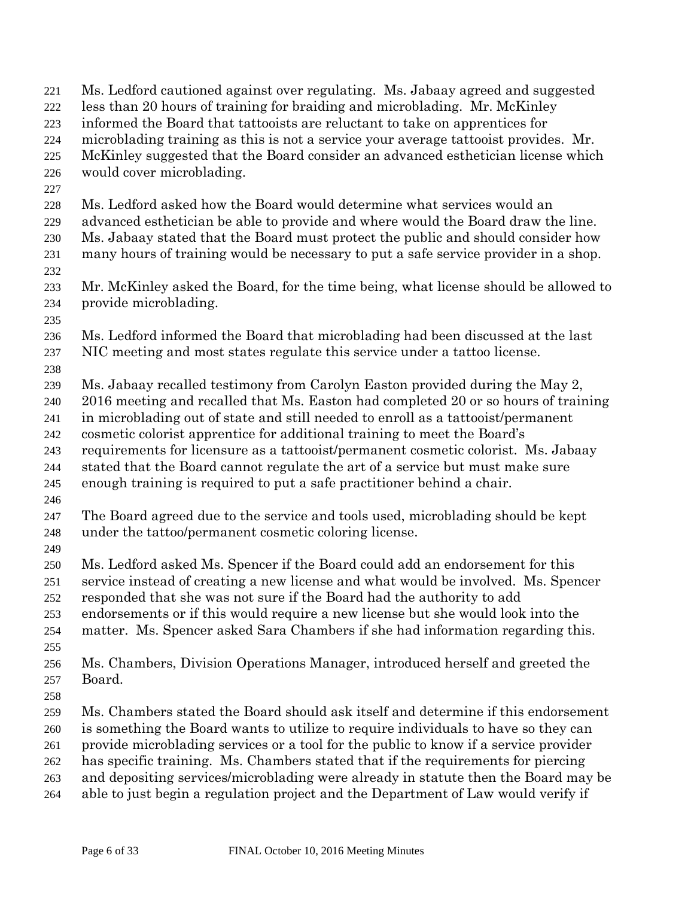| 221        | Ms. Ledford cautioned against over regulating. Ms. Jabaay agreed and suggested                                                                                       |
|------------|----------------------------------------------------------------------------------------------------------------------------------------------------------------------|
| 222        | less than 20 hours of training for braiding and microblading. Mr. McKinley                                                                                           |
| 223        | informed the Board that tattooists are reluctant to take on apprentices for                                                                                          |
| 224        | microblading training as this is not a service your average tattooist provides. Mr.                                                                                  |
| 225        | McKinley suggested that the Board consider an advanced esthetician license which                                                                                     |
| 226        | would cover microblading.                                                                                                                                            |
| 227        |                                                                                                                                                                      |
| 228        | Ms. Ledford asked how the Board would determine what services would an                                                                                               |
| 229<br>230 | advanced esthetician be able to provide and where would the Board draw the line.<br>Ms. Jabaay stated that the Board must protect the public and should consider how |
| 231        | many hours of training would be necessary to put a safe service provider in a shop.                                                                                  |
| 232        |                                                                                                                                                                      |
| 233        | Mr. McKinley asked the Board, for the time being, what license should be allowed to                                                                                  |
| 234        | provide microblading.                                                                                                                                                |
| 235        |                                                                                                                                                                      |
| 236        | Ms. Ledford informed the Board that microblading had been discussed at the last                                                                                      |
| 237        | NIC meeting and most states regulate this service under a tattoo license.                                                                                            |
| 238        |                                                                                                                                                                      |
| 239        | Ms. Jabaay recalled testimony from Carolyn Easton provided during the May 2,                                                                                         |
| 240        | 2016 meeting and recalled that Ms. Easton had completed 20 or so hours of training                                                                                   |
| 241        | in microblading out of state and still needed to enroll as a tattooist/permanent                                                                                     |
| 242        | cosmetic colorist apprentice for additional training to meet the Board's                                                                                             |
| 243        | requirements for licensure as a tattooist/permanent cosmetic colorist. Ms. Jabaay                                                                                    |
| 244        | stated that the Board cannot regulate the art of a service but must make sure                                                                                        |
| 245        | enough training is required to put a safe practitioner behind a chair.                                                                                               |
| 246        |                                                                                                                                                                      |
| 247        | The Board agreed due to the service and tools used, microblading should be kept                                                                                      |
| 248        | under the tattoo/permanent cosmetic coloring license.                                                                                                                |
| 249        |                                                                                                                                                                      |
| 250        | Ms. Ledford asked Ms. Spencer if the Board could add an endorsement for this                                                                                         |
| 251        | service instead of creating a new license and what would be involved. Ms. Spencer                                                                                    |
| 252        | responded that she was not sure if the Board had the authority to add                                                                                                |
| 253        | endorsements or if this would require a new license but she would look into the                                                                                      |
| 254        | matter. Ms. Spencer asked Sara Chambers if she had information regarding this.                                                                                       |
| 255        |                                                                                                                                                                      |
| 256        | Ms. Chambers, Division Operations Manager, introduced herself and greeted the                                                                                        |
| 257        | Board.                                                                                                                                                               |
| 258        |                                                                                                                                                                      |
| 259        | Ms. Chambers stated the Board should ask itself and determine if this endorsement                                                                                    |
| 260        | is something the Board wants to utilize to require individuals to have so they can                                                                                   |
| 261        | provide microblading services or a tool for the public to know if a service provider                                                                                 |
| 262        | has specific training. Ms. Chambers stated that if the requirements for piercing                                                                                     |
| 263        | and depositing services/microblading were already in statute then the Board may be                                                                                   |
| 264        | able to just begin a regulation project and the Department of Law would verify if                                                                                    |
|            |                                                                                                                                                                      |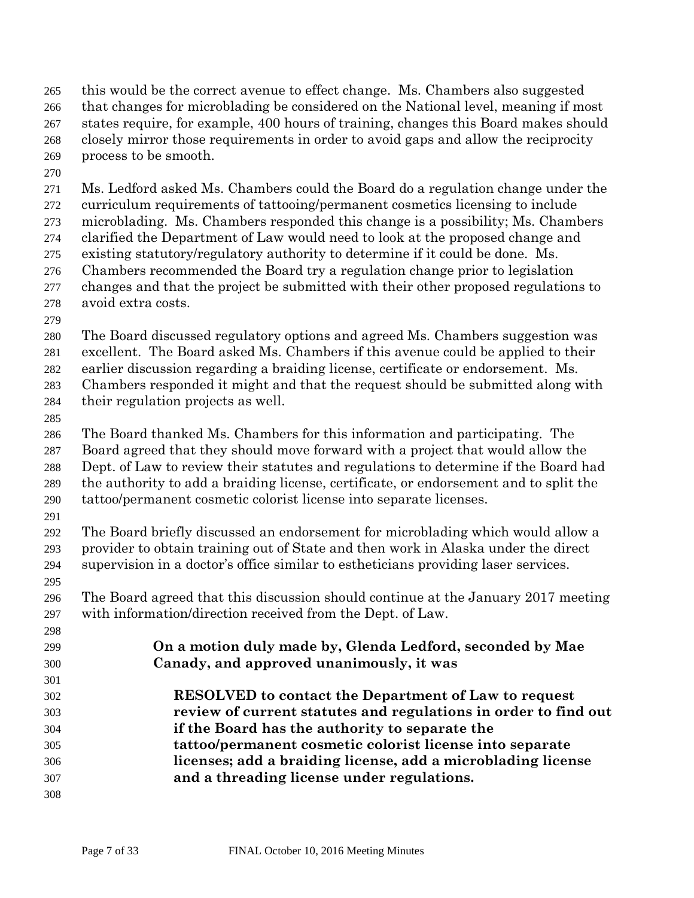this would be the correct avenue to effect change. Ms. Chambers also suggested that changes for microblading be considered on the National level, meaning if most states require, for example, 400 hours of training, changes this Board makes should closely mirror those requirements in order to avoid gaps and allow the reciprocity process to be smooth.

 Ms. Ledford asked Ms. Chambers could the Board do a regulation change under the curriculum requirements of tattooing/permanent cosmetics licensing to include microblading. Ms. Chambers responded this change is a possibility; Ms. Chambers clarified the Department of Law would need to look at the proposed change and existing statutory/regulatory authority to determine if it could be done. Ms. Chambers recommended the Board try a regulation change prior to legislation changes and that the project be submitted with their other proposed regulations to avoid extra costs.

 The Board discussed regulatory options and agreed Ms. Chambers suggestion was excellent. The Board asked Ms. Chambers if this avenue could be applied to their earlier discussion regarding a braiding license, certificate or endorsement. Ms. Chambers responded it might and that the request should be submitted along with

- their regulation projects as well.
- 

 The Board thanked Ms. Chambers for this information and participating. The Board agreed that they should move forward with a project that would allow the Dept. of Law to review their statutes and regulations to determine if the Board had the authority to add a braiding license, certificate, or endorsement and to split the tattoo/permanent cosmetic colorist license into separate licenses.

 The Board briefly discussed an endorsement for microblading which would allow a provider to obtain training out of State and then work in Alaska under the direct supervision in a doctor's office similar to estheticians providing laser services.

 The Board agreed that this discussion should continue at the January 2017 meeting with information/direction received from the Dept. of Law.

- **On a motion duly made by, Glenda Ledford, seconded by Mae Canady, and approved unanimously, it was**
- **RESOLVED to contact the Department of Law to request review of current statutes and regulations in order to find out if the Board has the authority to separate the tattoo/permanent cosmetic colorist license into separate licenses; add a braiding license, add a microblading license and a threading license under regulations.**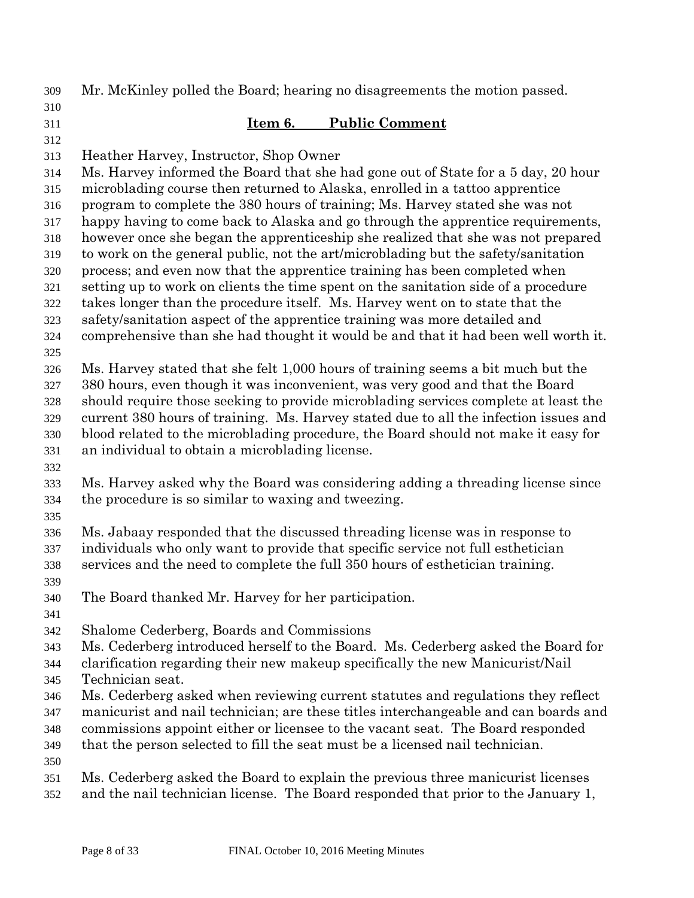Mr. McKinley polled the Board; hearing no disagreements the motion passed. **Item 6. Public Comment** Heather Harvey, Instructor, Shop Owner Ms. Harvey informed the Board that she had gone out of State for a 5 day, 20 hour microblading course then returned to Alaska, enrolled in a tattoo apprentice program to complete the 380 hours of training; Ms. Harvey stated she was not happy having to come back to Alaska and go through the apprentice requirements, however once she began the apprenticeship she realized that she was not prepared to work on the general public, not the art/microblading but the safety/sanitation process; and even now that the apprentice training has been completed when setting up to work on clients the time spent on the sanitation side of a procedure takes longer than the procedure itself. Ms. Harvey went on to state that the safety/sanitation aspect of the apprentice training was more detailed and comprehensive than she had thought it would be and that it had been well worth it. Ms. Harvey stated that she felt 1,000 hours of training seems a bit much but the 380 hours, even though it was inconvenient, was very good and that the Board should require those seeking to provide microblading services complete at least the current 380 hours of training. Ms. Harvey stated due to all the infection issues and blood related to the microblading procedure, the Board should not make it easy for an individual to obtain a microblading license. Ms. Harvey asked why the Board was considering adding a threading license since the procedure is so similar to waxing and tweezing. Ms. Jabaay responded that the discussed threading license was in response to individuals who only want to provide that specific service not full esthetician services and the need to complete the full 350 hours of esthetician training. The Board thanked Mr. Harvey for her participation. Shalome Cederberg, Boards and Commissions Ms. Cederberg introduced herself to the Board. Ms. Cederberg asked the Board for clarification regarding their new makeup specifically the new Manicurist/Nail Technician seat. Ms. Cederberg asked when reviewing current statutes and regulations they reflect manicurist and nail technician; are these titles interchangeable and can boards and commissions appoint either or licensee to the vacant seat. The Board responded that the person selected to fill the seat must be a licensed nail technician. Ms. Cederberg asked the Board to explain the previous three manicurist licenses and the nail technician license. The Board responded that prior to the January 1,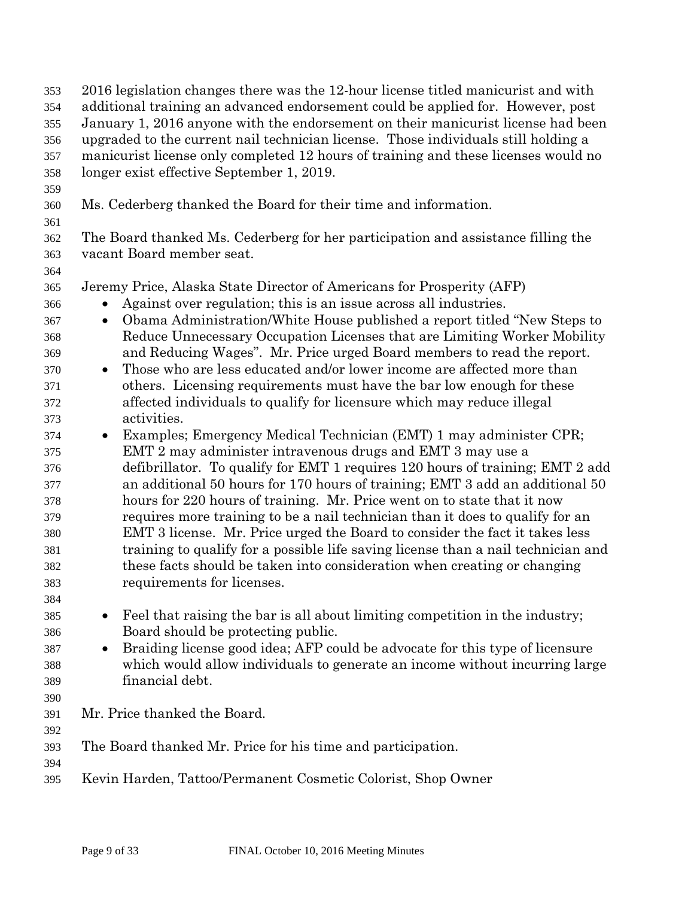| 353<br>354<br>355<br>356<br>357<br>358                                                  | 2016 legislation changes there was the 12-hour license titled manicurist and with<br>additional training an advanced endorsement could be applied for. However, post<br>January 1, 2016 anyone with the endorsement on their manicurist license had been<br>upgraded to the current nail technician license. Those individuals still holding a<br>manicurist license only completed 12 hours of training and these licenses would no<br>longer exist effective September 1, 2019.                                                                                                                                                                                                                                                                                                                                                                                                   |
|-----------------------------------------------------------------------------------------|-------------------------------------------------------------------------------------------------------------------------------------------------------------------------------------------------------------------------------------------------------------------------------------------------------------------------------------------------------------------------------------------------------------------------------------------------------------------------------------------------------------------------------------------------------------------------------------------------------------------------------------------------------------------------------------------------------------------------------------------------------------------------------------------------------------------------------------------------------------------------------------|
| 359<br>360<br>361                                                                       | Ms. Cederberg thanked the Board for their time and information.                                                                                                                                                                                                                                                                                                                                                                                                                                                                                                                                                                                                                                                                                                                                                                                                                     |
| 362<br>363                                                                              | The Board thanked Ms. Cederberg for her participation and assistance filling the<br>vacant Board member seat.                                                                                                                                                                                                                                                                                                                                                                                                                                                                                                                                                                                                                                                                                                                                                                       |
| 364<br>365<br>366<br>367<br>368<br>369<br>370<br>371<br>372<br>373<br>374<br>375<br>376 | Jeremy Price, Alaska State Director of Americans for Prosperity (AFP)<br>Against over regulation; this is an issue across all industries.<br>Obama Administration/White House published a report titled "New Steps to<br>$\bullet$<br>Reduce Unnecessary Occupation Licenses that are Limiting Worker Mobility<br>and Reducing Wages". Mr. Price urged Board members to read the report.<br>Those who are less educated and/or lower income are affected more than<br>$\bullet$<br>others. Licensing requirements must have the bar low enough for these<br>affected individuals to qualify for licensure which may reduce illegal<br>activities.<br>Examples; Emergency Medical Technician (EMT) 1 may administer CPR;<br>$\bullet$<br>EMT 2 may administer intravenous drugs and EMT 3 may use a<br>defibrillator. To qualify for EMT 1 requires 120 hours of training; EMT 2 add |
| 377<br>378<br>379<br>380<br>381<br>382<br>383<br>384                                    | an additional 50 hours for 170 hours of training; EMT 3 add an additional 50<br>hours for 220 hours of training. Mr. Price went on to state that it now<br>requires more training to be a nail technician than it does to qualify for an<br>EMT 3 license. Mr. Price urged the Board to consider the fact it takes less<br>training to qualify for a possible life saving license than a nail technician and<br>these facts should be taken into consideration when creating or changing<br>requirements for licenses.                                                                                                                                                                                                                                                                                                                                                              |
| 385<br>386<br>387<br>388<br>389<br>390                                                  | Feel that raising the bar is all about limiting competition in the industry;<br>$\bullet$<br>Board should be protecting public.<br>Braiding license good idea; AFP could be advocate for this type of licensure<br>$\bullet$<br>which would allow individuals to generate an income without incurring large<br>financial debt.                                                                                                                                                                                                                                                                                                                                                                                                                                                                                                                                                      |
| 391<br>392                                                                              | Mr. Price thanked the Board.                                                                                                                                                                                                                                                                                                                                                                                                                                                                                                                                                                                                                                                                                                                                                                                                                                                        |
| 393<br>394                                                                              | The Board thanked Mr. Price for his time and participation.                                                                                                                                                                                                                                                                                                                                                                                                                                                                                                                                                                                                                                                                                                                                                                                                                         |
| 395                                                                                     | Kevin Harden, Tattoo/Permanent Cosmetic Colorist, Shop Owner                                                                                                                                                                                                                                                                                                                                                                                                                                                                                                                                                                                                                                                                                                                                                                                                                        |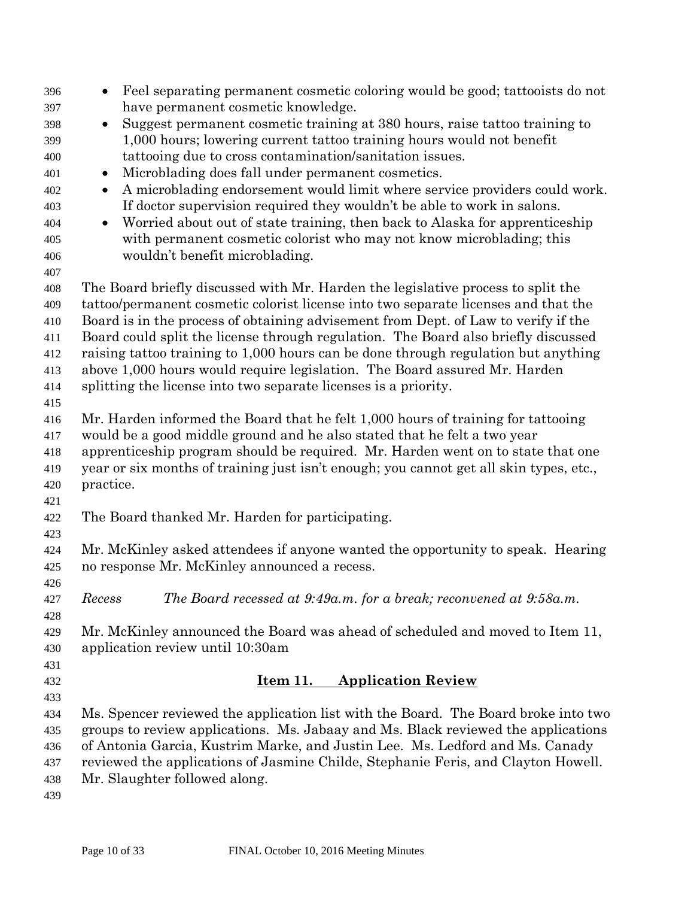| 396 | Feel separating permanent cosmetic coloring would be good; tattooists do not<br>$\bullet$ |  |  |  |  |  |  |
|-----|-------------------------------------------------------------------------------------------|--|--|--|--|--|--|
| 397 | have permanent cosmetic knowledge.                                                        |  |  |  |  |  |  |
| 398 | Suggest permanent cosmetic training at 380 hours, raise tattoo training to<br>$\bullet$   |  |  |  |  |  |  |
| 399 | 1,000 hours; lowering current tattoo training hours would not benefit                     |  |  |  |  |  |  |
| 400 | tattooing due to cross contamination/sanitation issues.                                   |  |  |  |  |  |  |
| 401 | Microblading does fall under permanent cosmetics.<br>$\bullet$                            |  |  |  |  |  |  |
| 402 | A microblading endorsement would limit where service providers could work.<br>$\bullet$   |  |  |  |  |  |  |
| 403 | If doctor supervision required they wouldn't be able to work in salons.                   |  |  |  |  |  |  |
| 404 | Worried about out of state training, then back to Alaska for apprenticeship<br>$\bullet$  |  |  |  |  |  |  |
| 405 | with permanent cosmetic colorist who may not know microblading; this                      |  |  |  |  |  |  |
| 406 | wouldn't benefit microblading.                                                            |  |  |  |  |  |  |
| 407 |                                                                                           |  |  |  |  |  |  |
| 408 | The Board briefly discussed with Mr. Harden the legislative process to split the          |  |  |  |  |  |  |
| 409 | tattoo/permanent cosmetic colorist license into two separate licenses and that the        |  |  |  |  |  |  |
| 410 | Board is in the process of obtaining advisement from Dept. of Law to verify if the        |  |  |  |  |  |  |
| 411 | Board could split the license through regulation. The Board also briefly discussed        |  |  |  |  |  |  |
| 412 | raising tattoo training to 1,000 hours can be done through regulation but anything        |  |  |  |  |  |  |
| 413 | above 1,000 hours would require legislation. The Board assured Mr. Harden                 |  |  |  |  |  |  |
| 414 | splitting the license into two separate licenses is a priority.                           |  |  |  |  |  |  |
| 415 |                                                                                           |  |  |  |  |  |  |
| 416 | Mr. Harden informed the Board that he felt 1,000 hours of training for tattooing          |  |  |  |  |  |  |
| 417 | would be a good middle ground and he also stated that he felt a two year                  |  |  |  |  |  |  |
| 418 | apprenticeship program should be required. Mr. Harden went on to state that one           |  |  |  |  |  |  |
| 419 | year or six months of training just isn't enough; you cannot get all skin types, etc.,    |  |  |  |  |  |  |
| 420 | practice.                                                                                 |  |  |  |  |  |  |
| 421 |                                                                                           |  |  |  |  |  |  |
| 422 | The Board thanked Mr. Harden for participating.                                           |  |  |  |  |  |  |
| 423 |                                                                                           |  |  |  |  |  |  |
| 424 | Mr. McKinley asked attendees if anyone wanted the opportunity to speak. Hearing           |  |  |  |  |  |  |
| 425 | no response Mr. McKinley announced a recess.                                              |  |  |  |  |  |  |
| 426 |                                                                                           |  |  |  |  |  |  |
| 427 | Recess<br>The Board recessed at 9:49a.m. for a break; reconvened at 9:58a.m.              |  |  |  |  |  |  |
| 428 |                                                                                           |  |  |  |  |  |  |
| 429 | Mr. McKinley announced the Board was ahead of scheduled and moved to Item 11,             |  |  |  |  |  |  |
| 430 | application review until 10:30am                                                          |  |  |  |  |  |  |
| 431 |                                                                                           |  |  |  |  |  |  |
| 432 | <b>Application Review</b><br>Item 11.                                                     |  |  |  |  |  |  |
| 433 |                                                                                           |  |  |  |  |  |  |
| 434 | Ms. Spencer reviewed the application list with the Board. The Board broke into two        |  |  |  |  |  |  |
| 435 | groups to review applications. Ms. Jabaay and Ms. Black reviewed the applications         |  |  |  |  |  |  |
| 436 | of Antonia Garcia, Kustrim Marke, and Justin Lee. Ms. Ledford and Ms. Canady              |  |  |  |  |  |  |
| 437 | reviewed the applications of Jasmine Childe, Stephanie Feris, and Clayton Howell.         |  |  |  |  |  |  |
| 438 | Mr. Slaughter followed along.                                                             |  |  |  |  |  |  |
| 439 |                                                                                           |  |  |  |  |  |  |
|     |                                                                                           |  |  |  |  |  |  |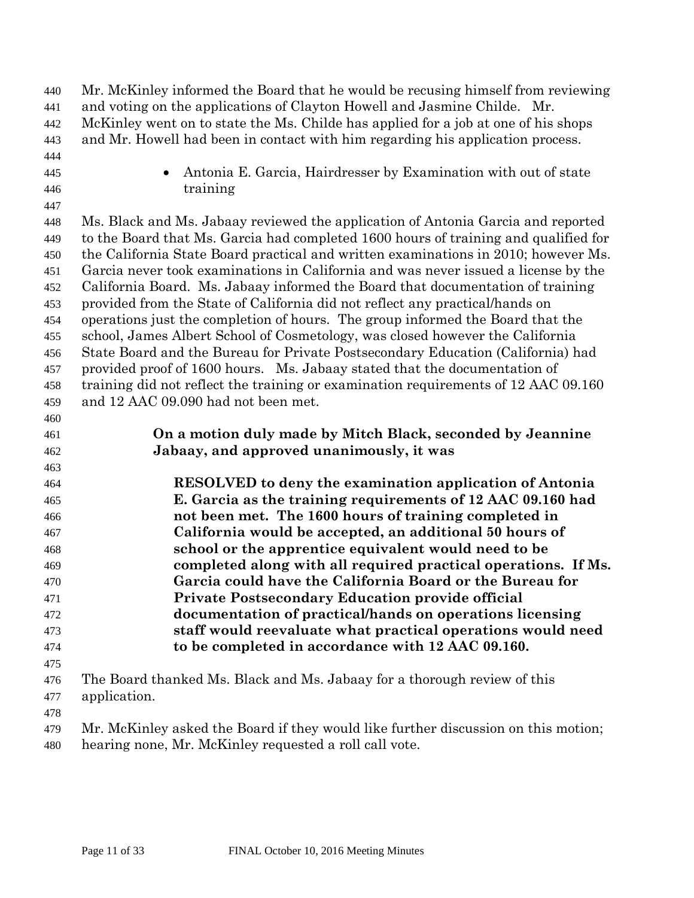| 440<br>441 | Mr. McKinley informed the Board that he would be recusing himself from reviewing<br>and voting on the applications of Clayton Howell and Jasmine Childe. Mr. |  |  |  |  |
|------------|--------------------------------------------------------------------------------------------------------------------------------------------------------------|--|--|--|--|
| 442        | McKinley went on to state the Ms. Childe has applied for a job at one of his shops                                                                           |  |  |  |  |
| 443        | and Mr. Howell had been in contact with him regarding his application process.                                                                               |  |  |  |  |
| 444        |                                                                                                                                                              |  |  |  |  |
| 445        | Antonia E. Garcia, Hairdresser by Examination with out of state                                                                                              |  |  |  |  |
| 446        | training                                                                                                                                                     |  |  |  |  |
| 447        |                                                                                                                                                              |  |  |  |  |
| 448        | Ms. Black and Ms. Jabaay reviewed the application of Antonia Garcia and reported                                                                             |  |  |  |  |
| 449        | to the Board that Ms. Garcia had completed 1600 hours of training and qualified for                                                                          |  |  |  |  |
| 450        | the California State Board practical and written examinations in 2010; however Ms.                                                                           |  |  |  |  |
| 451        | Garcia never took examinations in California and was never issued a license by the                                                                           |  |  |  |  |
| 452        | California Board. Ms. Jabaay informed the Board that documentation of training                                                                               |  |  |  |  |
| 453        | provided from the State of California did not reflect any practical/hands on                                                                                 |  |  |  |  |
| 454        | operations just the completion of hours. The group informed the Board that the                                                                               |  |  |  |  |
| 455        | school, James Albert School of Cosmetology, was closed however the California                                                                                |  |  |  |  |
| 456        | State Board and the Bureau for Private Postsecondary Education (California) had                                                                              |  |  |  |  |
| 457        | provided proof of 1600 hours. Ms. Jabaay stated that the documentation of                                                                                    |  |  |  |  |
| 458        | training did not reflect the training or examination requirements of 12 AAC 09.160                                                                           |  |  |  |  |
| 459        | and 12 AAC 09.090 had not been met.                                                                                                                          |  |  |  |  |
| 460        |                                                                                                                                                              |  |  |  |  |
| 461        | On a motion duly made by Mitch Black, seconded by Jeannine                                                                                                   |  |  |  |  |
| 462        | Jabaay, and approved unanimously, it was                                                                                                                     |  |  |  |  |
| 463        |                                                                                                                                                              |  |  |  |  |
| 464        | <b>RESOLVED</b> to deny the examination application of Antonia                                                                                               |  |  |  |  |
| 465        | E. Garcia as the training requirements of 12 AAC 09.160 had                                                                                                  |  |  |  |  |
| 466        | not been met. The 1600 hours of training completed in                                                                                                        |  |  |  |  |
| 467        | California would be accepted, an additional 50 hours of                                                                                                      |  |  |  |  |
| 468        | school or the apprentice equivalent would need to be                                                                                                         |  |  |  |  |
| 469        | completed along with all required practical operations. If Ms.                                                                                               |  |  |  |  |
| 470        | Garcia could have the California Board or the Bureau for                                                                                                     |  |  |  |  |
| 471        | <b>Private Postsecondary Education provide official</b>                                                                                                      |  |  |  |  |
| 472        | documentation of practical/hands on operations licensing                                                                                                     |  |  |  |  |
| 473        | staff would reevaluate what practical operations would need                                                                                                  |  |  |  |  |
| 474        | to be completed in accordance with 12 AAC 09.160.                                                                                                            |  |  |  |  |
| 475        |                                                                                                                                                              |  |  |  |  |
| 476        | The Board thanked Ms. Black and Ms. Jabaay for a thorough review of this                                                                                     |  |  |  |  |
| 477        | application.                                                                                                                                                 |  |  |  |  |
| 478        |                                                                                                                                                              |  |  |  |  |
| 479        | Mr. McKinley asked the Board if they would like further discussion on this motion;                                                                           |  |  |  |  |

hearing none, Mr. McKinley requested a roll call vote.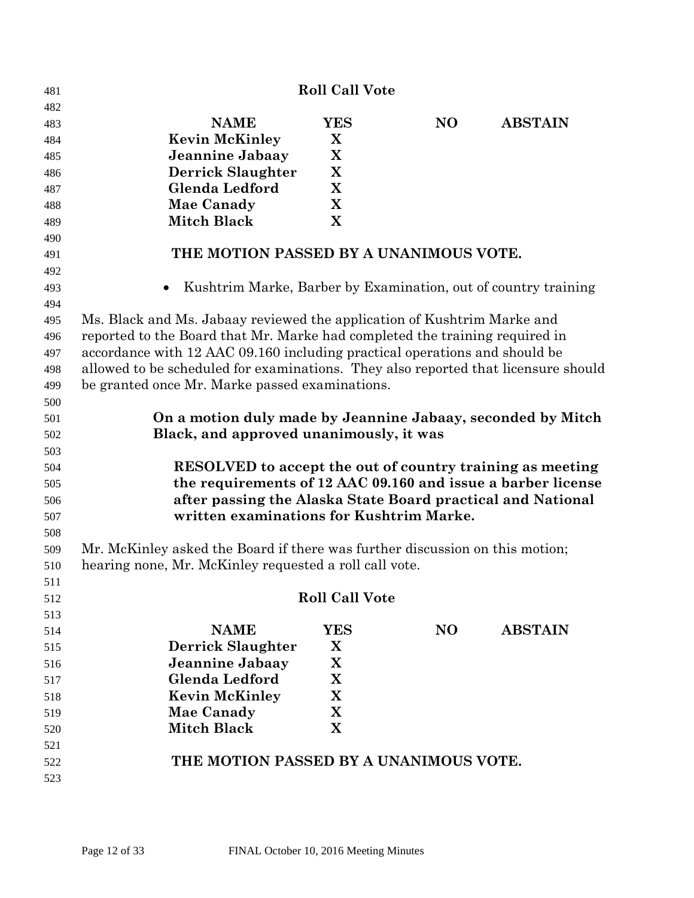| 481        |                                                                                                                           | <b>Roll Call Vote</b> |                |                |  |  |
|------------|---------------------------------------------------------------------------------------------------------------------------|-----------------------|----------------|----------------|--|--|
| 482        |                                                                                                                           |                       |                |                |  |  |
| 483        | <b>NAME</b>                                                                                                               | <b>YES</b>            | N <sub>O</sub> | <b>ABSTAIN</b> |  |  |
| 484        | <b>Kevin McKinley</b>                                                                                                     | X                     |                |                |  |  |
| 485        | Jeannine Jabaay                                                                                                           | X                     |                |                |  |  |
| 486        | <b>Derrick Slaughter</b>                                                                                                  | $\mathbf X$           |                |                |  |  |
| 487        | <b>Glenda Ledford</b>                                                                                                     | X                     |                |                |  |  |
| 488        | <b>Mae Canady</b>                                                                                                         | X                     |                |                |  |  |
| 489        | <b>Mitch Black</b>                                                                                                        | X                     |                |                |  |  |
| 490        |                                                                                                                           |                       |                |                |  |  |
| 491        | THE MOTION PASSED BY A UNANIMOUS VOTE.                                                                                    |                       |                |                |  |  |
| 492        |                                                                                                                           |                       |                |                |  |  |
| 493        | Kushtrim Marke, Barber by Examination, out of country training<br>$\bullet$                                               |                       |                |                |  |  |
| 494        |                                                                                                                           |                       |                |                |  |  |
| 495        | Ms. Black and Ms. Jabaay reviewed the application of Kushtrim Marke and                                                   |                       |                |                |  |  |
| 496        | reported to the Board that Mr. Marke had completed the training required in                                               |                       |                |                |  |  |
| 497        | accordance with 12 AAC 09.160 including practical operations and should be                                                |                       |                |                |  |  |
| 498        | allowed to be scheduled for examinations. They also reported that licensure should                                        |                       |                |                |  |  |
| 499        | be granted once Mr. Marke passed examinations.                                                                            |                       |                |                |  |  |
| 500        |                                                                                                                           |                       |                |                |  |  |
| 501        | On a motion duly made by Jeannine Jabaay, seconded by Mitch                                                               |                       |                |                |  |  |
| 502        | Black, and approved unanimously, it was                                                                                   |                       |                |                |  |  |
| 503        |                                                                                                                           |                       |                |                |  |  |
| 504        | RESOLVED to accept the out of country training as meeting<br>the requirements of 12 AAC 09.160 and issue a barber license |                       |                |                |  |  |
| 505        |                                                                                                                           |                       |                |                |  |  |
| 506        | after passing the Alaska State Board practical and National                                                               |                       |                |                |  |  |
| 507        | written examinations for Kushtrim Marke.                                                                                  |                       |                |                |  |  |
| 508        |                                                                                                                           |                       |                |                |  |  |
| 509        | Mr. McKinley asked the Board if there was further discussion on this motion;                                              |                       |                |                |  |  |
| 510        | hearing none, Mr. McKinley requested a roll call vote.                                                                    |                       |                |                |  |  |
| 511        |                                                                                                                           |                       |                |                |  |  |
| 512        |                                                                                                                           | <b>Roll Call Vote</b> |                |                |  |  |
| 513        | <b>NAME</b>                                                                                                               | <b>YES</b>            | N <sub>O</sub> | <b>ABSTAIN</b> |  |  |
| 514<br>515 | <b>Derrick Slaughter</b>                                                                                                  | X                     |                |                |  |  |
| 516        | Jeannine Jabaay                                                                                                           | X                     |                |                |  |  |
| 517        | <b>Glenda Ledford</b>                                                                                                     | X                     |                |                |  |  |
| 518        | <b>Kevin McKinley</b>                                                                                                     | X                     |                |                |  |  |
| 519        | <b>Mae Canady</b>                                                                                                         | X                     |                |                |  |  |
| 520        | <b>Mitch Black</b>                                                                                                        | X                     |                |                |  |  |
| 521        |                                                                                                                           |                       |                |                |  |  |
| 522        | THE MOTION PASSED BY A UNANIMOUS VOTE.                                                                                    |                       |                |                |  |  |
| 523        |                                                                                                                           |                       |                |                |  |  |
|            |                                                                                                                           |                       |                |                |  |  |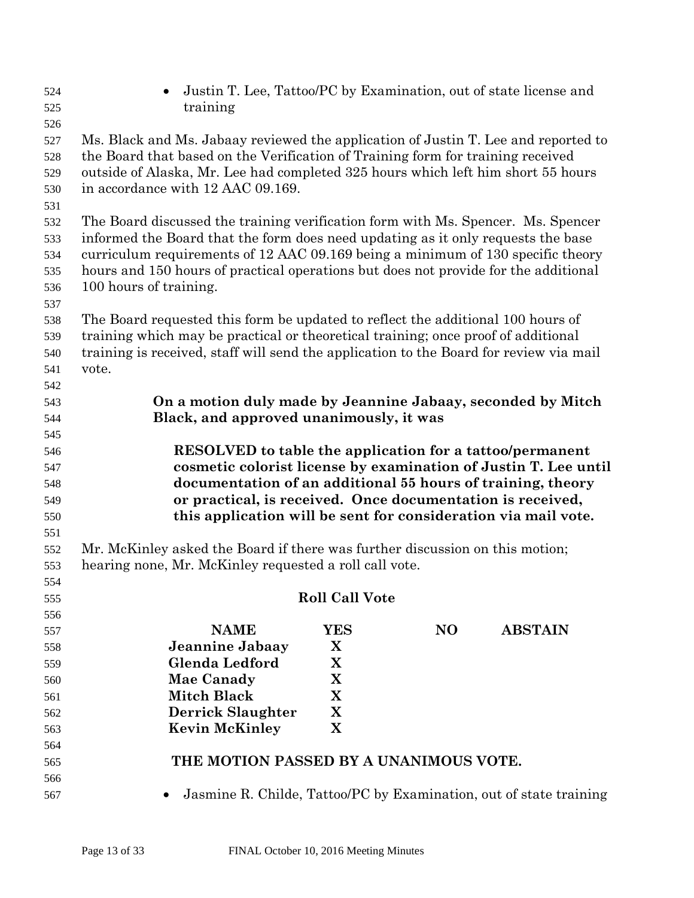| 524<br>525<br>526                      | Justin T. Lee, Tattoo/PC by Examination, out of state license and<br>$\bullet$<br>training                                                                                                                                                                                                                                                                               |                       |     |                |  |  |  |
|----------------------------------------|--------------------------------------------------------------------------------------------------------------------------------------------------------------------------------------------------------------------------------------------------------------------------------------------------------------------------------------------------------------------------|-----------------------|-----|----------------|--|--|--|
| 527<br>528<br>529                      | Ms. Black and Ms. Jabaay reviewed the application of Justin T. Lee and reported to<br>the Board that based on the Verification of Training form for training received<br>outside of Alaska, Mr. Lee had completed 325 hours which left him short 55 hours                                                                                                                |                       |     |                |  |  |  |
| 530<br>531                             | in accordance with 12 AAC 09.169.                                                                                                                                                                                                                                                                                                                                        |                       |     |                |  |  |  |
| 532<br>533<br>534<br>535<br>536<br>537 | The Board discussed the training verification form with Ms. Spencer. Ms. Spencer<br>informed the Board that the form does need updating as it only requests the base<br>curriculum requirements of 12 AAC 09.169 being a minimum of 130 specific theory<br>hours and 150 hours of practical operations but does not provide for the additional<br>100 hours of training. |                       |     |                |  |  |  |
| 538<br>539<br>540<br>541<br>542        | The Board requested this form be updated to reflect the additional 100 hours of<br>training which may be practical or theoretical training; once proof of additional<br>training is received, staff will send the application to the Board for review via mail<br>vote.                                                                                                  |                       |     |                |  |  |  |
| 543                                    | On a motion duly made by Jeannine Jabaay, seconded by Mitch                                                                                                                                                                                                                                                                                                              |                       |     |                |  |  |  |
| 544                                    | Black, and approved unanimously, it was                                                                                                                                                                                                                                                                                                                                  |                       |     |                |  |  |  |
| 545                                    |                                                                                                                                                                                                                                                                                                                                                                          |                       |     |                |  |  |  |
| 546                                    | <b>RESOLVED</b> to table the application for a tattoo/permanent                                                                                                                                                                                                                                                                                                          |                       |     |                |  |  |  |
| 547                                    | cosmetic colorist license by examination of Justin T. Lee until                                                                                                                                                                                                                                                                                                          |                       |     |                |  |  |  |
| 548                                    | documentation of an additional 55 hours of training, theory                                                                                                                                                                                                                                                                                                              |                       |     |                |  |  |  |
| 549                                    | or practical, is received. Once documentation is received,                                                                                                                                                                                                                                                                                                               |                       |     |                |  |  |  |
| 550                                    | this application will be sent for consideration via mail vote.                                                                                                                                                                                                                                                                                                           |                       |     |                |  |  |  |
| 551<br>552                             | Mr. McKinley asked the Board if there was further discussion on this motion;                                                                                                                                                                                                                                                                                             |                       |     |                |  |  |  |
| 553                                    | hearing none, Mr. McKinley requested a roll call vote.                                                                                                                                                                                                                                                                                                                   |                       |     |                |  |  |  |
| 554                                    |                                                                                                                                                                                                                                                                                                                                                                          |                       |     |                |  |  |  |
| 555                                    |                                                                                                                                                                                                                                                                                                                                                                          | <b>Roll Call Vote</b> |     |                |  |  |  |
| 556                                    |                                                                                                                                                                                                                                                                                                                                                                          |                       |     |                |  |  |  |
| 557                                    | <b>NAME</b>                                                                                                                                                                                                                                                                                                                                                              | <b>YES</b>            | NO. | <b>ABSTAIN</b> |  |  |  |
| 558                                    | Jeannine Jabaay                                                                                                                                                                                                                                                                                                                                                          | X                     |     |                |  |  |  |
| 559                                    | <b>Glenda Ledford</b>                                                                                                                                                                                                                                                                                                                                                    | X                     |     |                |  |  |  |
| 560                                    | <b>Mae Canady</b>                                                                                                                                                                                                                                                                                                                                                        | X                     |     |                |  |  |  |
| 561                                    | <b>Mitch Black</b>                                                                                                                                                                                                                                                                                                                                                       | X                     |     |                |  |  |  |
| 562                                    | <b>Derrick Slaughter</b>                                                                                                                                                                                                                                                                                                                                                 | X                     |     |                |  |  |  |
| 563                                    | <b>Kevin McKinley</b>                                                                                                                                                                                                                                                                                                                                                    | X                     |     |                |  |  |  |
| 564                                    |                                                                                                                                                                                                                                                                                                                                                                          |                       |     |                |  |  |  |
| 565                                    | THE MOTION PASSED BY A UNANIMOUS VOTE.                                                                                                                                                                                                                                                                                                                                   |                       |     |                |  |  |  |
| 566                                    |                                                                                                                                                                                                                                                                                                                                                                          |                       |     |                |  |  |  |
| 567                                    | Jasmine R. Childe, Tattoo/PC by Examination, out of state training                                                                                                                                                                                                                                                                                                       |                       |     |                |  |  |  |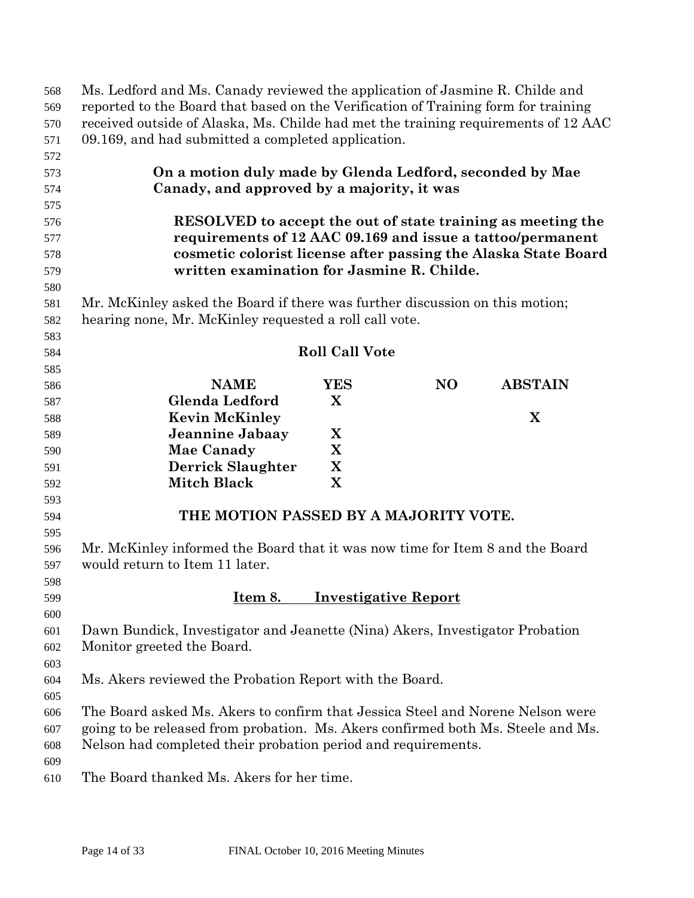| 568        | Ms. Ledford and Ms. Canady reviewed the application of Jasmine R. Childe and                                              |                       |                             |                |  |
|------------|---------------------------------------------------------------------------------------------------------------------------|-----------------------|-----------------------------|----------------|--|
| 569        | reported to the Board that based on the Verification of Training form for training                                        |                       |                             |                |  |
| 570        | received outside of Alaska, Ms. Childe had met the training requirements of 12 AAC                                        |                       |                             |                |  |
| 571        | 09.169, and had submitted a completed application.                                                                        |                       |                             |                |  |
| 572        |                                                                                                                           |                       |                             |                |  |
| 573        | On a motion duly made by Glenda Ledford, seconded by Mae                                                                  |                       |                             |                |  |
| 574        | Canady, and approved by a majority, it was                                                                                |                       |                             |                |  |
| 575        |                                                                                                                           |                       |                             |                |  |
| 576        |                                                                                                                           |                       |                             |                |  |
| 577        | RESOLVED to accept the out of state training as meeting the<br>requirements of 12 AAC 09.169 and issue a tattoo/permanent |                       |                             |                |  |
| 578        | cosmetic colorist license after passing the Alaska State Board                                                            |                       |                             |                |  |
| 579        | written examination for Jasmine R. Childe.                                                                                |                       |                             |                |  |
| 580        |                                                                                                                           |                       |                             |                |  |
| 581        | Mr. McKinley asked the Board if there was further discussion on this motion;                                              |                       |                             |                |  |
| 582        | hearing none, Mr. McKinley requested a roll call vote.                                                                    |                       |                             |                |  |
| 583        |                                                                                                                           |                       |                             |                |  |
| 584        |                                                                                                                           | <b>Roll Call Vote</b> |                             |                |  |
| 585        |                                                                                                                           |                       |                             |                |  |
| 586        | <b>NAME</b>                                                                                                               | <b>YES</b>            | N <sub>O</sub>              | <b>ABSTAIN</b> |  |
| 587        | <b>Glenda Ledford</b>                                                                                                     | X                     |                             |                |  |
| 588        | <b>Kevin McKinley</b>                                                                                                     |                       |                             | X              |  |
| 589        | Jeannine Jabaay                                                                                                           | X                     |                             |                |  |
|            | <b>Mae Canady</b>                                                                                                         | X                     |                             |                |  |
| 590<br>591 | <b>Derrick Slaughter</b>                                                                                                  | X                     |                             |                |  |
|            | <b>Mitch Black</b>                                                                                                        | X                     |                             |                |  |
| 592        |                                                                                                                           |                       |                             |                |  |
| 593        | THE MOTION PASSED BY A MAJORITY VOTE.                                                                                     |                       |                             |                |  |
| 594        |                                                                                                                           |                       |                             |                |  |
| 595        | Mr. McKinley informed the Board that it was now time for Item 8 and the Board                                             |                       |                             |                |  |
| 596        | would return to Item 11 later.                                                                                            |                       |                             |                |  |
| 597        |                                                                                                                           |                       |                             |                |  |
| 598        |                                                                                                                           |                       |                             |                |  |
| 599        | Item 8.                                                                                                                   |                       | <b>Investigative Report</b> |                |  |
| 600        |                                                                                                                           |                       |                             |                |  |
| 601        | Dawn Bundick, Investigator and Jeanette (Nina) Akers, Investigator Probation                                              |                       |                             |                |  |
| 602        | Monitor greeted the Board.                                                                                                |                       |                             |                |  |
| 603        |                                                                                                                           |                       |                             |                |  |
| 604        | Ms. Akers reviewed the Probation Report with the Board.                                                                   |                       |                             |                |  |
| 605        |                                                                                                                           |                       |                             |                |  |
| 606        | The Board asked Ms. Akers to confirm that Jessica Steel and Norene Nelson were                                            |                       |                             |                |  |
| 607        | going to be released from probation. Ms. Akers confirmed both Ms. Steele and Ms.                                          |                       |                             |                |  |
| 608        | Nelson had completed their probation period and requirements.                                                             |                       |                             |                |  |
| 609        |                                                                                                                           |                       |                             |                |  |
| 610        | The Board thanked Ms. Akers for her time.                                                                                 |                       |                             |                |  |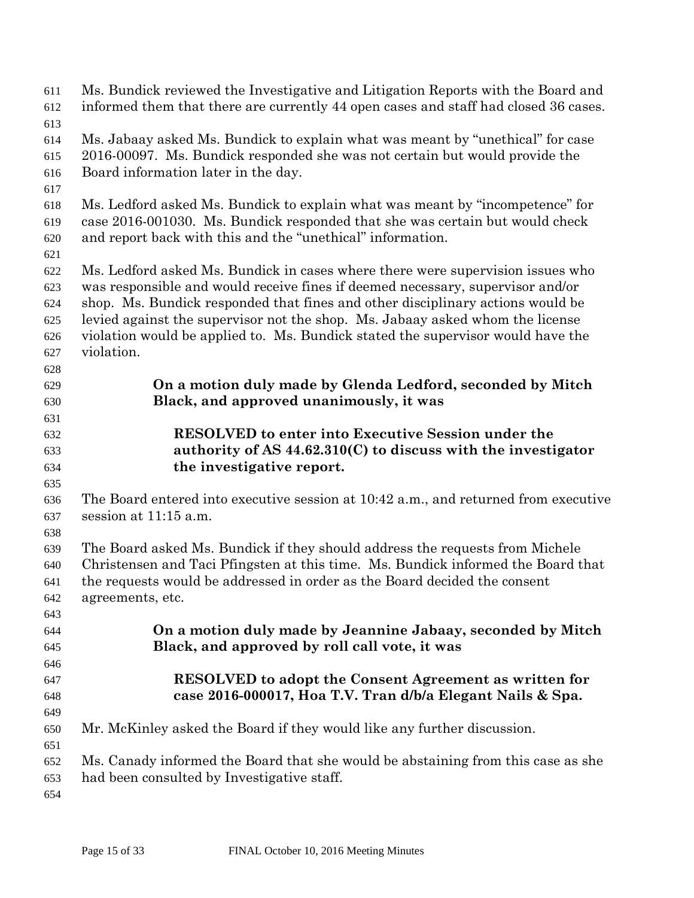| 611 | Ms. Bundick reviewed the Investigative and Litigation Reports with the Board and    |  |  |  |  |
|-----|-------------------------------------------------------------------------------------|--|--|--|--|
| 612 | informed them that there are currently 44 open cases and staff had closed 36 cases. |  |  |  |  |
| 613 |                                                                                     |  |  |  |  |
| 614 | Ms. Jabaay asked Ms. Bundick to explain what was meant by "unethical" for case      |  |  |  |  |
| 615 | 2016-00097. Ms. Bundick responded she was not certain but would provide the         |  |  |  |  |
| 616 | Board information later in the day.                                                 |  |  |  |  |
| 617 |                                                                                     |  |  |  |  |
| 618 | Ms. Ledford asked Ms. Bundick to explain what was meant by "incompetence" for       |  |  |  |  |
| 619 | case 2016-001030. Ms. Bundick responded that she was certain but would check        |  |  |  |  |
| 620 | and report back with this and the "unethical" information.                          |  |  |  |  |
| 621 |                                                                                     |  |  |  |  |
| 622 | Ms. Ledford asked Ms. Bundick in cases where there were supervision issues who      |  |  |  |  |
| 623 | was responsible and would receive fines if deemed necessary, supervisor and/or      |  |  |  |  |
| 624 | shop. Ms. Bundick responded that fines and other disciplinary actions would be      |  |  |  |  |
| 625 | levied against the supervisor not the shop. Ms. Jabaay asked whom the license       |  |  |  |  |
| 626 | violation would be applied to. Ms. Bundick stated the supervisor would have the     |  |  |  |  |
| 627 | violation.                                                                          |  |  |  |  |
| 628 |                                                                                     |  |  |  |  |
| 629 | On a motion duly made by Glenda Ledford, seconded by Mitch                          |  |  |  |  |
| 630 | Black, and approved unanimously, it was                                             |  |  |  |  |
| 631 |                                                                                     |  |  |  |  |
| 632 | <b>RESOLVED</b> to enter into Executive Session under the                           |  |  |  |  |
| 633 | authority of AS $44.62.310(C)$ to discuss with the investigator                     |  |  |  |  |
| 634 | the investigative report.                                                           |  |  |  |  |
| 635 |                                                                                     |  |  |  |  |
| 636 | The Board entered into executive session at 10:42 a.m., and returned from executive |  |  |  |  |
| 637 | session at 11:15 a.m.                                                               |  |  |  |  |
| 638 |                                                                                     |  |  |  |  |
| 639 | The Board asked Ms. Bundick if they should address the requests from Michele        |  |  |  |  |
| 640 | Christensen and Taci Pfingsten at this time. Ms. Bundick informed the Board that    |  |  |  |  |
| 641 | the requests would be addressed in order as the Board decided the consent           |  |  |  |  |
| 642 | agreements, etc.                                                                    |  |  |  |  |
| 643 |                                                                                     |  |  |  |  |
| 644 | On a motion duly made by Jeannine Jabaay, seconded by Mitch                         |  |  |  |  |
| 645 | Black, and approved by roll call vote, it was                                       |  |  |  |  |
| 646 |                                                                                     |  |  |  |  |
| 647 | <b>RESOLVED</b> to adopt the Consent Agreement as written for                       |  |  |  |  |
| 648 | case 2016-000017, Hoa T.V. Tran d/b/a Elegant Nails & Spa.                          |  |  |  |  |
| 649 |                                                                                     |  |  |  |  |
| 650 | Mr. McKinley asked the Board if they would like any further discussion.             |  |  |  |  |
| 651 |                                                                                     |  |  |  |  |
| 652 | Ms. Canady informed the Board that she would be abstaining from this case as she    |  |  |  |  |
| 653 | had been consulted by Investigative staff.                                          |  |  |  |  |
| 654 |                                                                                     |  |  |  |  |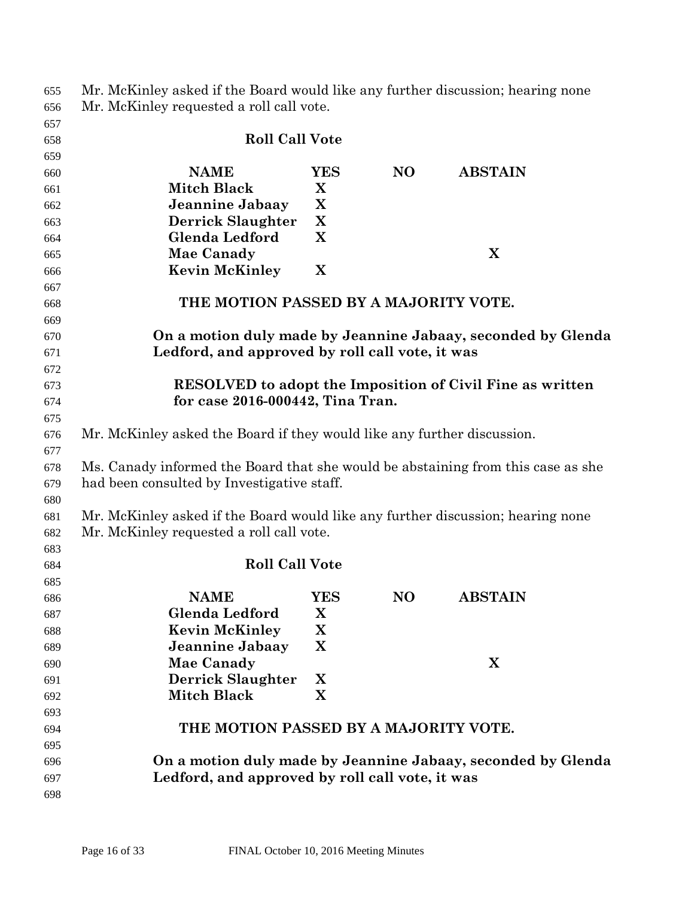| 655 | Mr. McKinley asked if the Board would like any further discussion; hearing none  |             |                |                                                                  |  |  |
|-----|----------------------------------------------------------------------------------|-------------|----------------|------------------------------------------------------------------|--|--|
| 656 | Mr. McKinley requested a roll call vote.                                         |             |                |                                                                  |  |  |
| 657 |                                                                                  |             |                |                                                                  |  |  |
| 658 | <b>Roll Call Vote</b>                                                            |             |                |                                                                  |  |  |
| 659 |                                                                                  |             |                |                                                                  |  |  |
| 660 | <b>NAME</b>                                                                      | <b>YES</b>  | N <sub>O</sub> | <b>ABSTAIN</b>                                                   |  |  |
| 661 | <b>Mitch Black</b>                                                               | X           |                |                                                                  |  |  |
| 662 | Jeannine Jabaay                                                                  | X           |                |                                                                  |  |  |
| 663 | <b>Derrick Slaughter</b>                                                         | X           |                |                                                                  |  |  |
| 664 | Glenda Ledford                                                                   | $\mathbf X$ |                |                                                                  |  |  |
| 665 | Mae Canady                                                                       |             |                | X                                                                |  |  |
| 666 | <b>Kevin McKinley</b>                                                            | X           |                |                                                                  |  |  |
| 667 |                                                                                  |             |                |                                                                  |  |  |
| 668 | THE MOTION PASSED BY A MAJORITY VOTE.                                            |             |                |                                                                  |  |  |
| 669 |                                                                                  |             |                |                                                                  |  |  |
| 670 |                                                                                  |             |                | On a motion duly made by Jeannine Jabaay, seconded by Glenda     |  |  |
| 671 | Ledford, and approved by roll call vote, it was                                  |             |                |                                                                  |  |  |
| 672 |                                                                                  |             |                |                                                                  |  |  |
| 673 |                                                                                  |             |                | <b>RESOLVED</b> to adopt the Imposition of Civil Fine as written |  |  |
| 674 | for case 2016-000442, Tina Tran.                                                 |             |                |                                                                  |  |  |
| 675 |                                                                                  |             |                |                                                                  |  |  |
| 676 | Mr. McKinley asked the Board if they would like any further discussion.          |             |                |                                                                  |  |  |
| 677 |                                                                                  |             |                |                                                                  |  |  |
| 678 | Ms. Canady informed the Board that she would be abstaining from this case as she |             |                |                                                                  |  |  |
| 679 | had been consulted by Investigative staff.                                       |             |                |                                                                  |  |  |
| 680 |                                                                                  |             |                |                                                                  |  |  |
| 681 | Mr. McKinley asked if the Board would like any further discussion; hearing none  |             |                |                                                                  |  |  |
| 682 | Mr. McKinley requested a roll call vote.                                         |             |                |                                                                  |  |  |
| 683 |                                                                                  |             |                |                                                                  |  |  |
| 684 | <b>Roll Call Vote</b>                                                            |             |                |                                                                  |  |  |
| 685 |                                                                                  |             |                |                                                                  |  |  |
| 686 | <b>NAME</b>                                                                      | YES         | N <sub>O</sub> | <b>ABSTAIN</b>                                                   |  |  |
| 687 | Glenda Ledford                                                                   | X           |                |                                                                  |  |  |
| 688 | <b>Kevin McKinley</b>                                                            | X           |                |                                                                  |  |  |
| 689 | Jeannine Jabaay                                                                  | X           |                |                                                                  |  |  |
| 690 | <b>Mae Canady</b>                                                                |             |                | X                                                                |  |  |
| 691 | <b>Derrick Slaughter</b>                                                         | X           |                |                                                                  |  |  |
| 692 | <b>Mitch Black</b>                                                               | X           |                |                                                                  |  |  |
| 693 |                                                                                  |             |                |                                                                  |  |  |
| 694 | THE MOTION PASSED BY A MAJORITY VOTE.                                            |             |                |                                                                  |  |  |
| 695 |                                                                                  |             |                |                                                                  |  |  |
| 696 |                                                                                  |             |                | On a motion duly made by Jeannine Jabaay, seconded by Glenda     |  |  |
| 697 | Ledford, and approved by roll call vote, it was                                  |             |                |                                                                  |  |  |
| 698 |                                                                                  |             |                |                                                                  |  |  |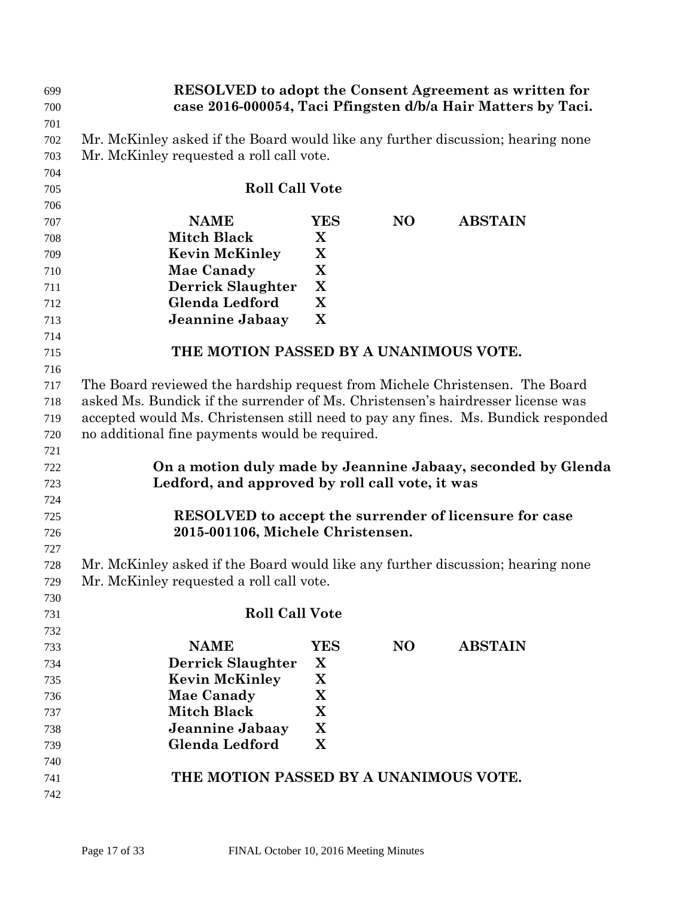| 699 | <b>RESOLVED</b> to adopt the Consent Agreement as written for                                                                       |             |                |                |  |
|-----|-------------------------------------------------------------------------------------------------------------------------------------|-------------|----------------|----------------|--|
| 700 | case 2016-000054, Taci Pfingsten d/b/a Hair Matters by Taci.                                                                        |             |                |                |  |
| 701 |                                                                                                                                     |             |                |                |  |
| 702 | Mr. McKinley asked if the Board would like any further discussion; hearing none                                                     |             |                |                |  |
| 703 | Mr. McKinley requested a roll call vote.                                                                                            |             |                |                |  |
| 704 |                                                                                                                                     |             |                |                |  |
| 705 | <b>Roll Call Vote</b>                                                                                                               |             |                |                |  |
| 706 |                                                                                                                                     |             |                |                |  |
| 707 | <b>NAME</b>                                                                                                                         | <b>YES</b>  | N <sub>O</sub> | <b>ABSTAIN</b> |  |
| 708 | <b>Mitch Black</b>                                                                                                                  | X           |                |                |  |
| 709 | <b>Kevin McKinley</b>                                                                                                               | X           |                |                |  |
| 710 | Mae Canady                                                                                                                          | X           |                |                |  |
| 711 | <b>Derrick Slaughter</b>                                                                                                            | X           |                |                |  |
| 712 | <b>Glenda Ledford</b>                                                                                                               | X           |                |                |  |
| 713 | Jeannine Jabaay                                                                                                                     | X           |                |                |  |
| 714 |                                                                                                                                     |             |                |                |  |
| 715 | THE MOTION PASSED BY A UNANIMOUS VOTE.                                                                                              |             |                |                |  |
| 716 |                                                                                                                                     |             |                |                |  |
| 717 | The Board reviewed the hardship request from Michele Christensen. The Board                                                         |             |                |                |  |
| 718 | asked Ms. Bundick if the surrender of Ms. Christensen's hairdresser license was                                                     |             |                |                |  |
| 719 |                                                                                                                                     |             |                |                |  |
|     | accepted would Ms. Christensen still need to pay any fines. Ms. Bundick responded<br>no additional fine payments would be required. |             |                |                |  |
| 720 |                                                                                                                                     |             |                |                |  |
| 721 | On a motion duly made by Jeannine Jabaay, seconded by Glenda                                                                        |             |                |                |  |
| 722 | Ledford, and approved by roll call vote, it was                                                                                     |             |                |                |  |
| 723 |                                                                                                                                     |             |                |                |  |
| 724 |                                                                                                                                     |             |                |                |  |
| 725 | <b>RESOLVED</b> to accept the surrender of licensure for case<br>2015-001106, Michele Christensen.                                  |             |                |                |  |
| 726 |                                                                                                                                     |             |                |                |  |
| 727 |                                                                                                                                     |             |                |                |  |
| 728 | Mr. McKinley asked if the Board would like any further discussion; hearing none<br>Mr. McKinley requested a roll call vote.         |             |                |                |  |
| 729 |                                                                                                                                     |             |                |                |  |
| 730 | <b>Roll Call Vote</b>                                                                                                               |             |                |                |  |
| 731 |                                                                                                                                     |             |                |                |  |
| 732 | <b>NAME</b>                                                                                                                         | YES         | <b>NO</b>      | <b>ABSTAIN</b> |  |
| 733 |                                                                                                                                     | X           |                |                |  |
| 734 | <b>Derrick Slaughter</b>                                                                                                            | X           |                |                |  |
| 735 | <b>Kevin McKinley</b>                                                                                                               | X           |                |                |  |
| 736 | Mae Canady<br><b>Mitch Black</b>                                                                                                    | $\mathbf X$ |                |                |  |
| 737 |                                                                                                                                     |             |                |                |  |
| 738 | Jeannine Jabaay<br><b>Glenda Ledford</b>                                                                                            | X<br>X      |                |                |  |
| 739 |                                                                                                                                     |             |                |                |  |
| 740 | THE MOTION PASSED BY A UNANIMOUS VOTE.                                                                                              |             |                |                |  |
| 741 |                                                                                                                                     |             |                |                |  |
| 742 |                                                                                                                                     |             |                |                |  |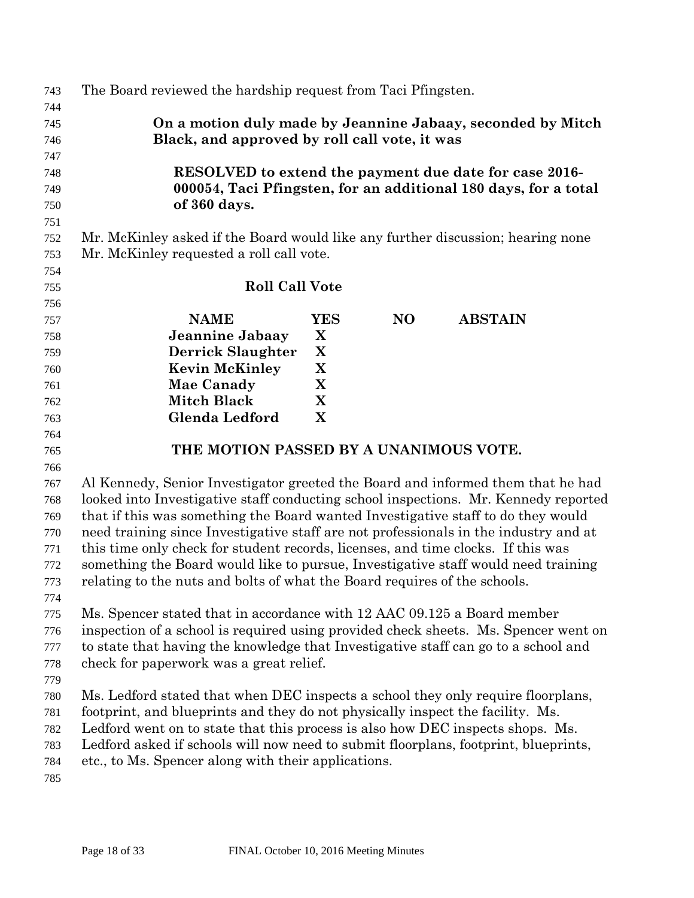| 743        | The Board reviewed the hardship request from Taci Pfingsten.                         |             |                |                |  |
|------------|--------------------------------------------------------------------------------------|-------------|----------------|----------------|--|
| 744        |                                                                                      |             |                |                |  |
| 745        | On a motion duly made by Jeannine Jabaay, seconded by Mitch                          |             |                |                |  |
| 746        | Black, and approved by roll call vote, it was                                        |             |                |                |  |
| 747        |                                                                                      |             |                |                |  |
| 748        | RESOLVED to extend the payment due date for case 2016-                               |             |                |                |  |
| 749        | 000054, Taci Pfingsten, for an additional 180 days, for a total                      |             |                |                |  |
| 750        | of 360 days.                                                                         |             |                |                |  |
| 751        |                                                                                      |             |                |                |  |
| 752        | Mr. McKinley asked if the Board would like any further discussion; hearing none      |             |                |                |  |
| 753        | Mr. McKinley requested a roll call vote.                                             |             |                |                |  |
| 754        |                                                                                      |             |                |                |  |
| 755        | <b>Roll Call Vote</b>                                                                |             |                |                |  |
| 756<br>757 | <b>NAME</b>                                                                          | YES         | N <sub>O</sub> | <b>ABSTAIN</b> |  |
| 758        | Jeannine Jabaay                                                                      | X           |                |                |  |
| 759        | <b>Derrick Slaughter</b>                                                             | $\mathbf X$ |                |                |  |
| 760        | <b>Kevin McKinley</b>                                                                | X           |                |                |  |
| 761        | <b>Mae Canady</b>                                                                    | X           |                |                |  |
| 762        | <b>Mitch Black</b>                                                                   | X           |                |                |  |
| 763        | Glenda Ledford                                                                       | X           |                |                |  |
| 764        |                                                                                      |             |                |                |  |
| 765        | THE MOTION PASSED BY A UNANIMOUS VOTE.                                               |             |                |                |  |
| 766        |                                                                                      |             |                |                |  |
| 767        | Al Kennedy, Senior Investigator greeted the Board and informed them that he had      |             |                |                |  |
| 768        | looked into Investigative staff conducting school inspections. Mr. Kennedy reported  |             |                |                |  |
| 769        | that if this was something the Board wanted Investigative staff to do they would     |             |                |                |  |
| 770        | need training since Investigative staff are not professionals in the industry and at |             |                |                |  |
| 771        | this time only check for student records, licenses, and time clocks. If this was     |             |                |                |  |
| 772        | something the Board would like to pursue, Investigative staff would need training    |             |                |                |  |
| 773        | relating to the nuts and bolts of what the Board requires of the schools.            |             |                |                |  |
| 774        |                                                                                      |             |                |                |  |
| 775        | Ms. Spencer stated that in accordance with 12 AAC 09.125 a Board member              |             |                |                |  |
| 776        | inspection of a school is required using provided check sheets. Ms. Spencer went on  |             |                |                |  |
| 777        | to state that having the knowledge that Investigative staff can go to a school and   |             |                |                |  |
| 778        | check for paperwork was a great relief.                                              |             |                |                |  |
| 779        |                                                                                      |             |                |                |  |
| 780        | Ms. Ledford stated that when DEC inspects a school they only require floorplans,     |             |                |                |  |
| 781        | footprint, and blueprints and they do not physically inspect the facility. Ms.       |             |                |                |  |
| 782        | Ledford went on to state that this process is also how DEC inspects shops. Ms.       |             |                |                |  |
| 783        | Ledford asked if schools will now need to submit floorplans, footprint, blueprints,  |             |                |                |  |
| 784        | etc., to Ms. Spencer along with their applications.                                  |             |                |                |  |
| 785        |                                                                                      |             |                |                |  |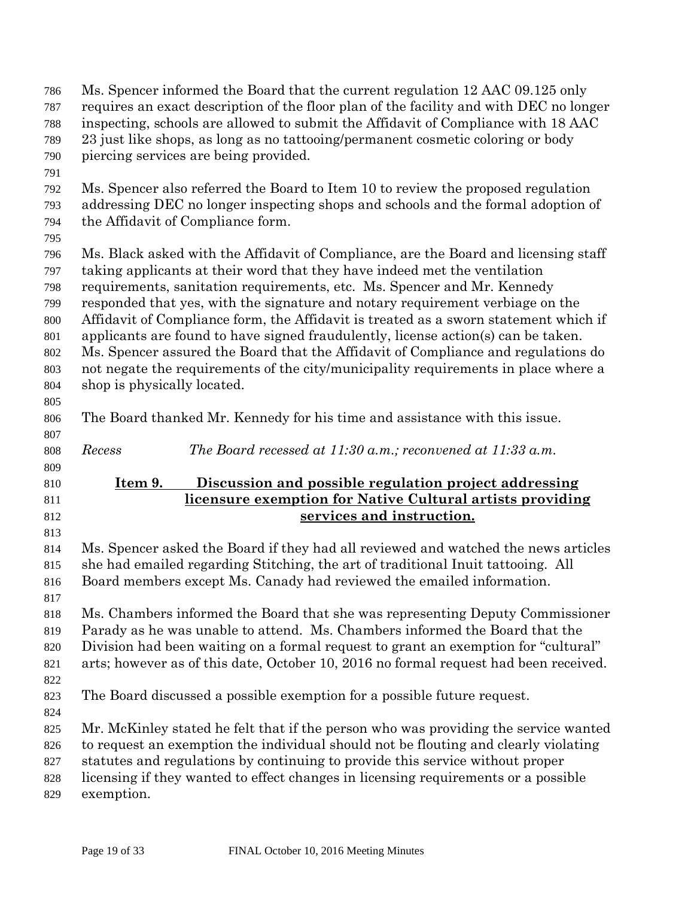| 786        | Ms. Spencer informed the Board that the current regulation 12 AAC 09.125 only          |  |  |  |
|------------|----------------------------------------------------------------------------------------|--|--|--|
| 787        | requires an exact description of the floor plan of the facility and with DEC no longer |  |  |  |
| 788        | inspecting, schools are allowed to submit the Affidavit of Compliance with 18 AAC      |  |  |  |
| 789        | 23 just like shops, as long as no tattooing/permanent cosmetic coloring or body        |  |  |  |
| 790        | piercing services are being provided.                                                  |  |  |  |
| 791        |                                                                                        |  |  |  |
| 792        | Ms. Spencer also referred the Board to Item 10 to review the proposed regulation       |  |  |  |
| 793        | addressing DEC no longer inspecting shops and schools and the formal adoption of       |  |  |  |
| 794        | the Affidavit of Compliance form.                                                      |  |  |  |
| 795        |                                                                                        |  |  |  |
| 796        | Ms. Black asked with the Affidavit of Compliance, are the Board and licensing staff    |  |  |  |
| 797        | taking applicants at their word that they have indeed met the ventilation              |  |  |  |
| 798        | requirements, sanitation requirements, etc. Ms. Spencer and Mr. Kennedy                |  |  |  |
| 799        | responded that yes, with the signature and notary requirement verbiage on the          |  |  |  |
| 800        | Affidavit of Compliance form, the Affidavit is treated as a sworn statement which if   |  |  |  |
| 801        | applicants are found to have signed fraudulently, license action(s) can be taken.      |  |  |  |
| 802        | Ms. Spencer assured the Board that the Affidavit of Compliance and regulations do      |  |  |  |
| 803        | not negate the requirements of the city/municipality requirements in place where a     |  |  |  |
| 804        | shop is physically located.                                                            |  |  |  |
| 805        |                                                                                        |  |  |  |
|            | The Board thanked Mr. Kennedy for his time and assistance with this issue.             |  |  |  |
| 806        |                                                                                        |  |  |  |
| 807<br>808 | Recess<br>The Board recessed at $11:30$ a.m.; reconvened at $11:33$ a.m.               |  |  |  |
| 809        |                                                                                        |  |  |  |
| 810        | Discussion and possible regulation project addressing<br>Item 9.                       |  |  |  |
| 811        | <u>licensure exemption for Native Cultural artists providing</u>                       |  |  |  |
| 812        | services and instruction.                                                              |  |  |  |
| 813        |                                                                                        |  |  |  |
| 814        | Ms. Spencer asked the Board if they had all reviewed and watched the news articles     |  |  |  |
| 815        | she had emailed regarding Stitching, the art of traditional Inuit tattooing. All       |  |  |  |
|            | Board members except Ms. Canady had reviewed the emailed information.                  |  |  |  |
| 816        |                                                                                        |  |  |  |
| 817        |                                                                                        |  |  |  |
| 818        | Ms. Chambers informed the Board that she was representing Deputy Commissioner          |  |  |  |
| 819        | Parady as he was unable to attend. Ms. Chambers informed the Board that the            |  |  |  |
| 820        | Division had been waiting on a formal request to grant an exemption for "cultural"     |  |  |  |
| 821        | arts; however as of this date, October 10, 2016 no formal request had been received.   |  |  |  |
| 822        |                                                                                        |  |  |  |
| 823        | The Board discussed a possible exemption for a possible future request.                |  |  |  |
| 824        |                                                                                        |  |  |  |
| 825        | Mr. McKinley stated he felt that if the person who was providing the service wanted    |  |  |  |
| 826        | to request an exemption the individual should not be flouting and clearly violating    |  |  |  |
| 827        | statutes and regulations by continuing to provide this service without proper          |  |  |  |
| 828        | licensing if they wanted to effect changes in licensing requirements or a possible     |  |  |  |
| 829        | exemption.                                                                             |  |  |  |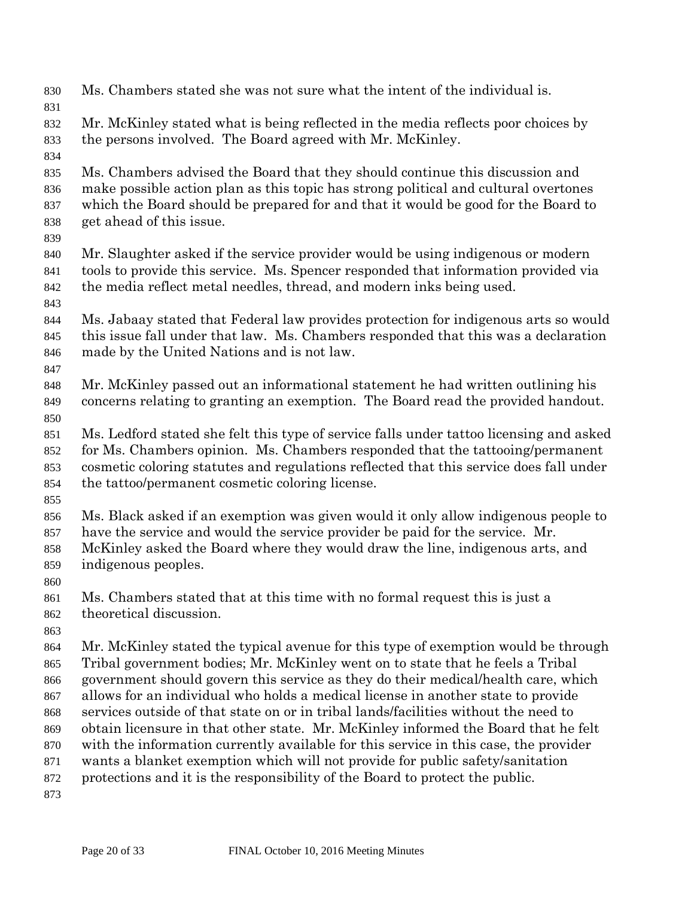Ms. Chambers stated she was not sure what the intent of the individual is. Mr. McKinley stated what is being reflected in the media reflects poor choices by the persons involved. The Board agreed with Mr. McKinley. Ms. Chambers advised the Board that they should continue this discussion and make possible action plan as this topic has strong political and cultural overtones which the Board should be prepared for and that it would be good for the Board to get ahead of this issue. Mr. Slaughter asked if the service provider would be using indigenous or modern tools to provide this service. Ms. Spencer responded that information provided via the media reflect metal needles, thread, and modern inks being used. Ms. Jabaay stated that Federal law provides protection for indigenous arts so would this issue fall under that law. Ms. Chambers responded that this was a declaration made by the United Nations and is not law. Mr. McKinley passed out an informational statement he had written outlining his concerns relating to granting an exemption. The Board read the provided handout. Ms. Ledford stated she felt this type of service falls under tattoo licensing and asked for Ms. Chambers opinion. Ms. Chambers responded that the tattooing/permanent cosmetic coloring statutes and regulations reflected that this service does fall under the tattoo/permanent cosmetic coloring license. Ms. Black asked if an exemption was given would it only allow indigenous people to have the service and would the service provider be paid for the service. Mr. McKinley asked the Board where they would draw the line, indigenous arts, and indigenous peoples. Ms. Chambers stated that at this time with no formal request this is just a theoretical discussion. Mr. McKinley stated the typical avenue for this type of exemption would be through Tribal government bodies; Mr. McKinley went on to state that he feels a Tribal government should govern this service as they do their medical/health care, which allows for an individual who holds a medical license in another state to provide services outside of that state on or in tribal lands/facilities without the need to obtain licensure in that other state. Mr. McKinley informed the Board that he felt with the information currently available for this service in this case, the provider wants a blanket exemption which will not provide for public safety/sanitation protections and it is the responsibility of the Board to protect the public.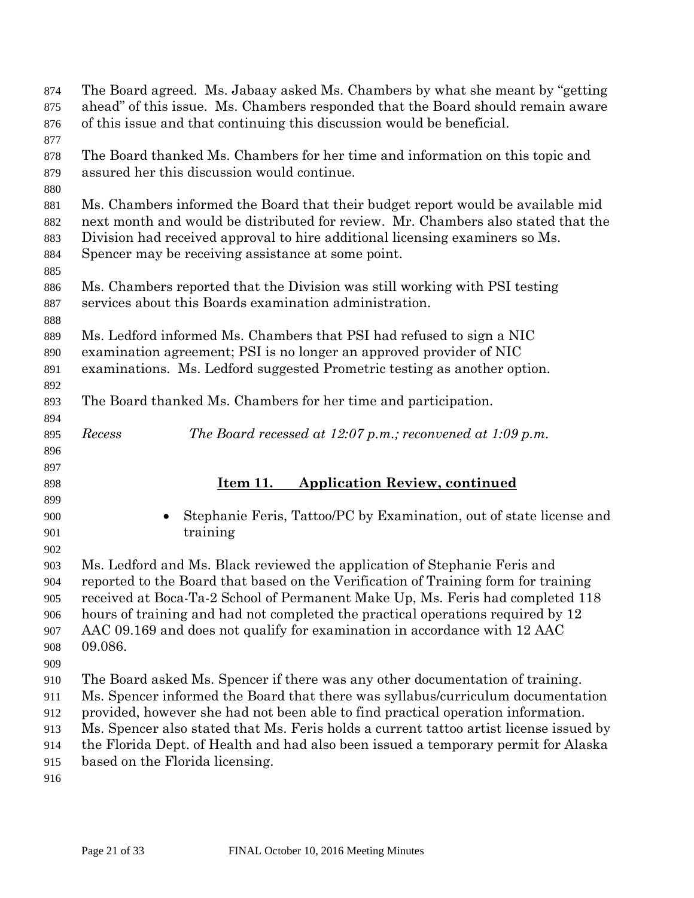| 874<br>875<br>876                                    | The Board agreed. Ms. Jabaay asked Ms. Chambers by what she meant by "getting"<br>ahead" of this issue. Ms. Chambers responded that the Board should remain aware<br>of this issue and that continuing this discussion would be beneficial.                                                                                                                                                                                                                             |
|------------------------------------------------------|-------------------------------------------------------------------------------------------------------------------------------------------------------------------------------------------------------------------------------------------------------------------------------------------------------------------------------------------------------------------------------------------------------------------------------------------------------------------------|
| 877<br>878<br>879<br>880                             | The Board thanked Ms. Chambers for her time and information on this topic and<br>assured her this discussion would continue.                                                                                                                                                                                                                                                                                                                                            |
| 881<br>882<br>883<br>884                             | Ms. Chambers informed the Board that their budget report would be available mid<br>next month and would be distributed for review. Mr. Chambers also stated that the<br>Division had received approval to hire additional licensing examiners so Ms.<br>Spencer may be receiving assistance at some point.                                                                                                                                                              |
| 885<br>886<br>887<br>888                             | Ms. Chambers reported that the Division was still working with PSI testing<br>services about this Boards examination administration.                                                                                                                                                                                                                                                                                                                                    |
| 889<br>890<br>891<br>892                             | Ms. Ledford informed Ms. Chambers that PSI had refused to sign a NIC<br>examination agreement; PSI is no longer an approved provider of NIC<br>examinations. Ms. Ledford suggested Prometric testing as another option.                                                                                                                                                                                                                                                 |
| 893                                                  | The Board thanked Ms. Chambers for her time and participation.                                                                                                                                                                                                                                                                                                                                                                                                          |
| 894<br>895<br>896                                    | Recess<br>The Board recessed at 12:07 p.m.; reconvened at 1:09 p.m.                                                                                                                                                                                                                                                                                                                                                                                                     |
| 897<br>898                                           | <b>Application Review, continued</b><br>$I$ tem 11.                                                                                                                                                                                                                                                                                                                                                                                                                     |
| 899<br>900<br>901<br>902                             | Stephanie Feris, Tattoo/PC by Examination, out of state license and<br>training                                                                                                                                                                                                                                                                                                                                                                                         |
| 903<br>904<br>905<br>906<br>907<br>908               | Ms. Ledford and Ms. Black reviewed the application of Stephanie Feris and<br>reported to the Board that based on the Verification of Training form for training<br>received at Boca-Ta-2 School of Permanent Make Up, Ms. Feris had completed 118<br>hours of training and had not completed the practical operations required by 12<br>AAC 09.169 and does not qualify for examination in accordance with 12 AAC<br>09.086.                                            |
| 909<br>910<br>911<br>912<br>913<br>914<br>915<br>916 | The Board asked Ms. Spencer if there was any other documentation of training.<br>Ms. Spencer informed the Board that there was syllabus/curriculum documentation<br>provided, however she had not been able to find practical operation information.<br>Ms. Spencer also stated that Ms. Feris holds a current tattoo artist license issued by<br>the Florida Dept. of Health and had also been issued a temporary permit for Alaska<br>based on the Florida licensing. |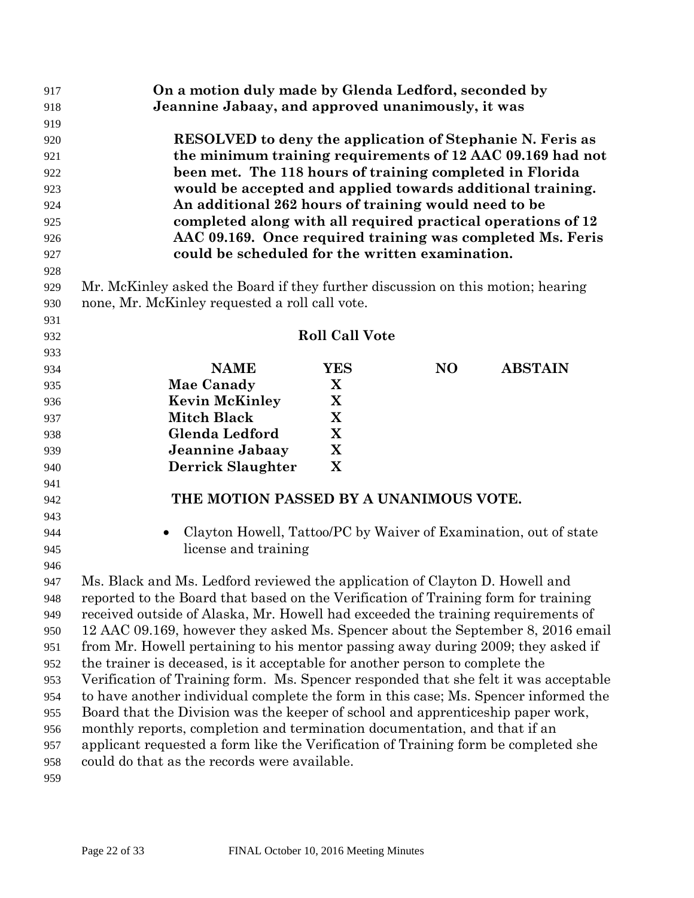| 917 | On a motion duly made by Glenda Ledford, seconded by                                 |                       |                |                |
|-----|--------------------------------------------------------------------------------------|-----------------------|----------------|----------------|
| 918 | Jeannine Jabaay, and approved unanimously, it was                                    |                       |                |                |
| 919 |                                                                                      |                       |                |                |
| 920 | <b>RESOLVED</b> to deny the application of Stephanie N. Feris as                     |                       |                |                |
| 921 | the minimum training requirements of 12 AAC 09.169 had not                           |                       |                |                |
| 922 | been met. The 118 hours of training completed in Florida                             |                       |                |                |
| 923 | would be accepted and applied towards additional training.                           |                       |                |                |
| 924 | An additional 262 hours of training would need to be                                 |                       |                |                |
| 925 | completed along with all required practical operations of 12                         |                       |                |                |
| 926 | AAC 09.169. Once required training was completed Ms. Feris                           |                       |                |                |
| 927 | could be scheduled for the written examination.                                      |                       |                |                |
| 928 |                                                                                      |                       |                |                |
| 929 | Mr. McKinley asked the Board if they further discussion on this motion; hearing      |                       |                |                |
| 930 | none, Mr. McKinley requested a roll call vote.                                       |                       |                |                |
| 931 |                                                                                      |                       |                |                |
| 932 |                                                                                      | <b>Roll Call Vote</b> |                |                |
| 933 |                                                                                      |                       |                |                |
| 934 | <b>NAME</b>                                                                          | YES                   | N <sub>O</sub> | <b>ABSTAIN</b> |
| 935 | <b>Mae Canady</b>                                                                    | X                     |                |                |
| 936 | <b>Kevin McKinley</b>                                                                | X                     |                |                |
| 937 | <b>Mitch Black</b>                                                                   | X                     |                |                |
| 938 | Glenda Ledford                                                                       | X                     |                |                |
| 939 | Jeannine Jabaay                                                                      | X                     |                |                |
| 940 | <b>Derrick Slaughter</b>                                                             | X                     |                |                |
| 941 |                                                                                      |                       |                |                |
| 942 | THE MOTION PASSED BY A UNANIMOUS VOTE.                                               |                       |                |                |
| 943 |                                                                                      |                       |                |                |
| 944 | Clayton Howell, Tattoo/PC by Waiver of Examination, out of state                     |                       |                |                |
| 945 | license and training                                                                 |                       |                |                |
| 946 |                                                                                      |                       |                |                |
| 947 | Ms. Black and Ms. Ledford reviewed the application of Clayton D. Howell and          |                       |                |                |
| 948 | reported to the Board that based on the Verification of Training form for training   |                       |                |                |
| 949 | received outside of Alaska, Mr. Howell had exceeded the training requirements of     |                       |                |                |
| 950 | 12 AAC 09.169, however they asked Ms. Spencer about the September 8, 2016 email      |                       |                |                |
| 951 | from Mr. Howell pertaining to his mentor passing away during 2009; they asked if     |                       |                |                |
| 952 | the trainer is deceased, is it acceptable for another person to complete the         |                       |                |                |
| 953 | Verification of Training form. Ms. Spencer responded that she felt it was acceptable |                       |                |                |
| 954 | to have another individual complete the form in this case; Ms. Spencer informed the  |                       |                |                |
| 955 | Board that the Division was the keeper of school and apprenticeship paper work,      |                       |                |                |
| 956 | monthly reports, completion and termination documentation, and that if an            |                       |                |                |
| 957 | applicant requested a form like the Verification of Training form be completed she   |                       |                |                |
| 958 | could do that as the records were available.                                         |                       |                |                |
| 959 |                                                                                      |                       |                |                |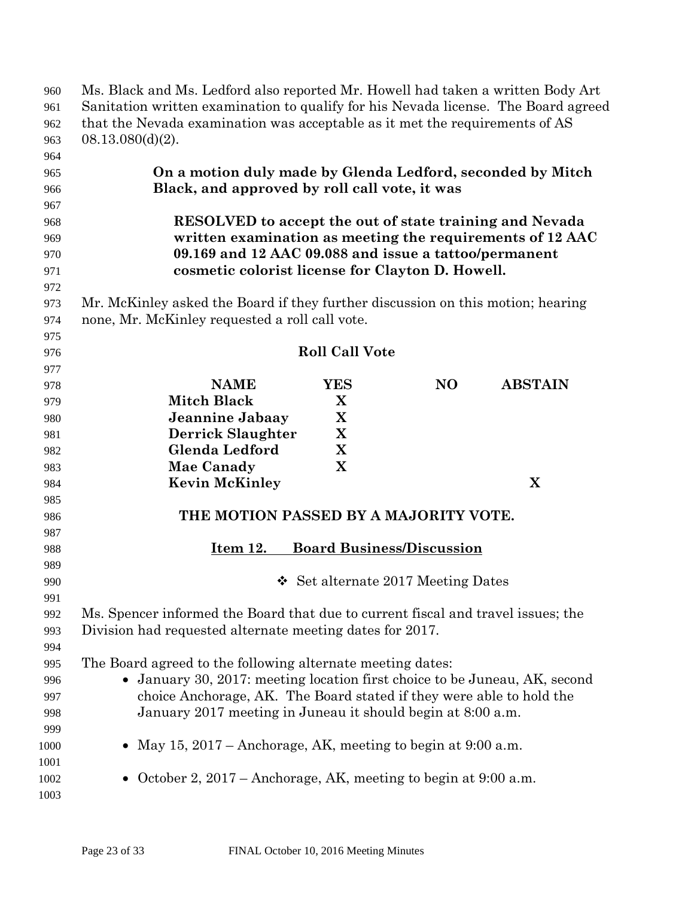| 960  | Ms. Black and Ms. Ledford also reported Mr. Howell had taken a written Body Art    |  |  |
|------|------------------------------------------------------------------------------------|--|--|
| 961  | Sanitation written examination to qualify for his Nevada license. The Board agreed |  |  |
| 962  | that the Nevada examination was acceptable as it met the requirements of AS        |  |  |
| 963  | $08.13.080(d)(2)$ .                                                                |  |  |
| 964  |                                                                                    |  |  |
| 965  | On a motion duly made by Glenda Ledford, seconded by Mitch                         |  |  |
| 966  | Black, and approved by roll call vote, it was                                      |  |  |
| 967  |                                                                                    |  |  |
| 968  | <b>RESOLVED</b> to accept the out of state training and Nevada                     |  |  |
| 969  | written examination as meeting the requirements of 12 AAC                          |  |  |
| 970  | 09.169 and 12 AAC 09.088 and issue a tattoo/permanent                              |  |  |
| 971  | cosmetic colorist license for Clayton D. Howell.                                   |  |  |
| 972  |                                                                                    |  |  |
| 973  | Mr. McKinley asked the Board if they further discussion on this motion; hearing    |  |  |
| 974  | none, Mr. McKinley requested a roll call vote.                                     |  |  |
| 975  |                                                                                    |  |  |
| 976  | <b>Roll Call Vote</b>                                                              |  |  |
| 977  |                                                                                    |  |  |
| 978  | <b>YES</b><br>N <sub>O</sub><br><b>ABSTAIN</b><br><b>NAME</b>                      |  |  |
| 979  | <b>Mitch Black</b><br>X                                                            |  |  |
| 980  | $\mathbf X$<br>Jeannine Jabaay                                                     |  |  |
| 981  | X<br><b>Derrick Slaughter</b>                                                      |  |  |
| 982  | X<br>Glenda Ledford                                                                |  |  |
| 983  | <b>Mae Canady</b><br>X                                                             |  |  |
| 984  | X<br><b>Kevin McKinley</b>                                                         |  |  |
| 985  |                                                                                    |  |  |
| 986  | THE MOTION PASSED BY A MAJORITY VOTE.                                              |  |  |
| 987  |                                                                                    |  |  |
| 988  | <b>Board Business/Discussion</b><br>Item 12.                                       |  |  |
| 989  |                                                                                    |  |  |
| 990  | $\div$ Set alternate 2017 Meeting Dates                                            |  |  |
| 991  |                                                                                    |  |  |
| 992  | Ms. Spencer informed the Board that due to current fiscal and travel issues; the   |  |  |
| 993  | Division had requested alternate meeting dates for 2017.                           |  |  |
| 994  |                                                                                    |  |  |
| 995  | The Board agreed to the following alternate meeting dates:                         |  |  |
| 996  | • January 30, 2017: meeting location first choice to be Juneau, AK, second         |  |  |
| 997  | choice Anchorage, AK. The Board stated if they were able to hold the               |  |  |
|      | January 2017 meeting in Juneau it should begin at 8:00 a.m.                        |  |  |
| 998  |                                                                                    |  |  |
| 999  |                                                                                    |  |  |
| 1000 | May 15, 2017 – Anchorage, AK, meeting to begin at $9:00$ a.m.                      |  |  |
| 1001 |                                                                                    |  |  |
| 1002 | • October 2, 2017 – Anchorage, AK, meeting to begin at 9:00 a.m.                   |  |  |
| 1003 |                                                                                    |  |  |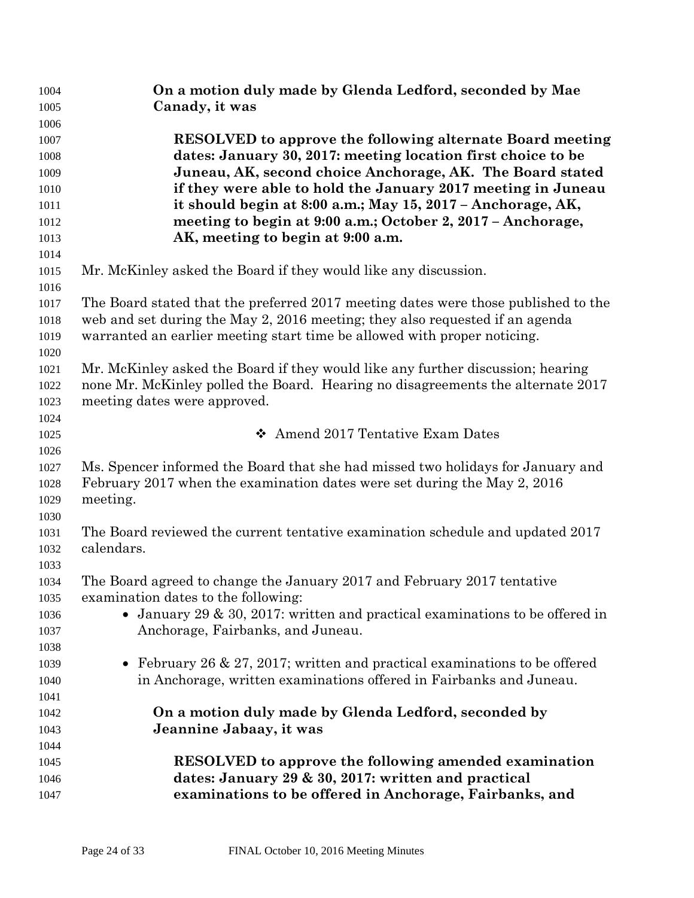| 1004 | On a motion duly made by Glenda Ledford, seconded by Mae                                                            |
|------|---------------------------------------------------------------------------------------------------------------------|
| 1005 | Canady, it was                                                                                                      |
| 1006 |                                                                                                                     |
| 1007 | <b>RESOLVED</b> to approve the following alternate Board meeting                                                    |
| 1008 | dates: January 30, 2017: meeting location first choice to be                                                        |
| 1009 | Juneau, AK, second choice Anchorage, AK. The Board stated                                                           |
| 1010 | if they were able to hold the January 2017 meeting in Juneau                                                        |
| 1011 | it should begin at 8:00 a.m.; May 15, 2017 - Anchorage, AK,                                                         |
| 1012 | meeting to begin at 9:00 a.m.; October 2, 2017 - Anchorage,                                                         |
| 1013 | AK, meeting to begin at 9:00 a.m.                                                                                   |
| 1014 |                                                                                                                     |
| 1015 | Mr. McKinley asked the Board if they would like any discussion.                                                     |
| 1016 |                                                                                                                     |
| 1017 | The Board stated that the preferred 2017 meeting dates were those published to the                                  |
| 1018 | web and set during the May 2, 2016 meeting; they also requested if an agenda                                        |
| 1019 | warranted an earlier meeting start time be allowed with proper noticing.                                            |
| 1020 |                                                                                                                     |
| 1021 | Mr. McKinley asked the Board if they would like any further discussion; hearing                                     |
| 1022 | none Mr. McKinley polled the Board. Hearing no disagreements the alternate 2017                                     |
| 1023 | meeting dates were approved.                                                                                        |
| 1024 |                                                                                                                     |
| 1025 | Amend 2017 Tentative Exam Dates                                                                                     |
| 1026 |                                                                                                                     |
| 1027 | Ms. Spencer informed the Board that she had missed two holidays for January and                                     |
| 1028 | February 2017 when the examination dates were set during the May 2, 2016                                            |
| 1029 | meeting.                                                                                                            |
| 1030 |                                                                                                                     |
| 1031 | The Board reviewed the current tentative examination schedule and updated 2017                                      |
| 1032 | calendars.                                                                                                          |
| 1033 |                                                                                                                     |
| 1034 | The Board agreed to change the January 2017 and February 2017 tentative                                             |
| 1035 | examination dates to the following:                                                                                 |
| 1036 | • January 29 & 30, 2017: written and practical examinations to be offered in                                        |
| 1037 | Anchorage, Fairbanks, and Juneau.                                                                                   |
| 1038 |                                                                                                                     |
| 1039 | • February 26 & 27, 2017; written and practical examinations to be offered                                          |
| 1040 | in Anchorage, written examinations offered in Fairbanks and Juneau.                                                 |
| 1041 |                                                                                                                     |
| 1042 | On a motion duly made by Glenda Ledford, seconded by                                                                |
| 1043 | Jeannine Jabaay, it was                                                                                             |
| 1044 |                                                                                                                     |
| 1045 | <b>RESOLVED</b> to approve the following amended examination<br>dates: January 29 & 30, 2017: written and practical |
| 1046 |                                                                                                                     |
| 1047 | examinations to be offered in Anchorage, Fairbanks, and                                                             |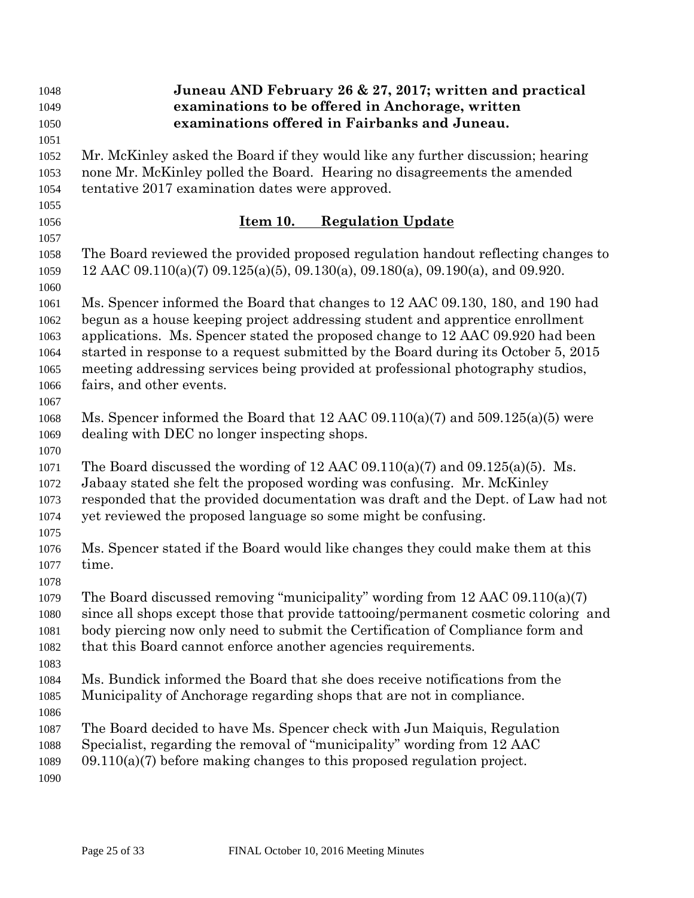| 1048<br>1049 | Juneau AND February 26 & 27, 2017; written and practical<br>examinations to be offered in Anchorage, written                                                          |
|--------------|-----------------------------------------------------------------------------------------------------------------------------------------------------------------------|
| 1050         | examinations offered in Fairbanks and Juneau.                                                                                                                         |
| 1051         |                                                                                                                                                                       |
| 1052         | Mr. McKinley asked the Board if they would like any further discussion; hearing                                                                                       |
| 1053         | none Mr. McKinley polled the Board. Hearing no disagreements the amended                                                                                              |
| 1054         | tentative 2017 examination dates were approved.                                                                                                                       |
| 1055         |                                                                                                                                                                       |
| 1056         | Item 10.<br><b>Regulation Update</b>                                                                                                                                  |
| 1057         |                                                                                                                                                                       |
| 1058<br>1059 | The Board reviewed the provided proposed regulation handout reflecting changes to<br>$12$ AAC 09.110(a)(7) 09.125(a)(5), 09.130(a), 09.180(a), 09.190(a), and 09.920. |
| 1060         |                                                                                                                                                                       |
| 1061         | Ms. Spencer informed the Board that changes to 12 AAC 09.130, 180, and 190 had                                                                                        |
| 1062         | begun as a house keeping project addressing student and apprentice enrollment                                                                                         |
| 1063         | applications. Ms. Spencer stated the proposed change to 12 AAC 09.920 had been                                                                                        |
| 1064         | started in response to a request submitted by the Board during its October 5, 2015                                                                                    |
| 1065         | meeting addressing services being provided at professional photography studios,                                                                                       |
| 1066         | fairs, and other events.                                                                                                                                              |
| 1067         |                                                                                                                                                                       |
| 1068         | Ms. Spencer informed the Board that $12$ AAC $09.110(a)(7)$ and $509.125(a)(5)$ were                                                                                  |
| 1069         | dealing with DEC no longer inspecting shops.                                                                                                                          |
| 1070         |                                                                                                                                                                       |
| 1071         | The Board discussed the wording of 12 AAC $09.110(a)(7)$ and $09.125(a)(5)$ . Ms.                                                                                     |
| 1072         | Jabaay stated she felt the proposed wording was confusing. Mr. McKinley                                                                                               |
| 1073         | responded that the provided documentation was draft and the Dept. of Law had not                                                                                      |
| 1074         | yet reviewed the proposed language so some might be confusing.                                                                                                        |
| 1075         |                                                                                                                                                                       |
| 1076         | Ms. Spencer stated if the Board would like changes they could make them at this                                                                                       |
| 1077         | time.                                                                                                                                                                 |
| 1078<br>1079 | The Board discussed removing "municipality" wording from 12 AAC 09.110(a)(7)                                                                                          |
| 1080         | since all shops except those that provide tattooing/permanent cosmetic coloring and                                                                                   |
| 1081         | body piercing now only need to submit the Certification of Compliance form and                                                                                        |
| 1082         | that this Board cannot enforce another agencies requirements.                                                                                                         |
| 1083         |                                                                                                                                                                       |
| 1084         | Ms. Bundick informed the Board that she does receive notifications from the                                                                                           |
| 1085         | Municipality of Anchorage regarding shops that are not in compliance.                                                                                                 |
| 1086         |                                                                                                                                                                       |
| 1087         | The Board decided to have Ms. Spencer check with Jun Maiquis, Regulation                                                                                              |
| 1088         | Specialist, regarding the removal of "municipality" wording from 12 AAC                                                                                               |
| 1089         | $09.110(a)(7)$ before making changes to this proposed regulation project.                                                                                             |
| 1090         |                                                                                                                                                                       |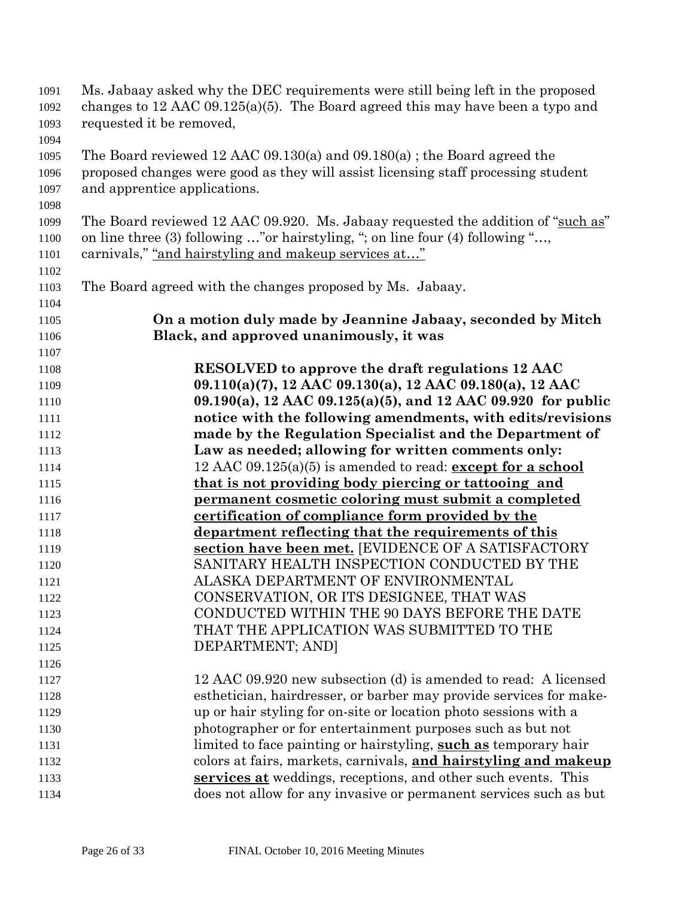| 1091<br>1092 | Ms. Jabaay asked why the DEC requirements were still being left in the proposed<br>changes to 12 AAC 09.125(a)(5). The Board agreed this may have been a typo and |
|--------------|-------------------------------------------------------------------------------------------------------------------------------------------------------------------|
| 1093         | requested it be removed,                                                                                                                                          |
| 1094         |                                                                                                                                                                   |
| 1095         | The Board reviewed 12 AAC 09.130(a) and 09.180(a); the Board agreed the                                                                                           |
| 1096         | proposed changes were good as they will assist licensing staff processing student                                                                                 |
| 1097         | and apprentice applications.                                                                                                                                      |
| 1098         |                                                                                                                                                                   |
| 1099         | The Board reviewed 12 AAC 09.920. Ms. Jabaay requested the addition of "such as"                                                                                  |
| 1100         | on line three (3) following " or hairstyling, "; on line four (4) following ",                                                                                    |
| 1101         | carnivals," "and hairstyling and makeup services at"                                                                                                              |
| 1102         |                                                                                                                                                                   |
| 1103         | The Board agreed with the changes proposed by Ms. Jabaay.                                                                                                         |
| 1104         |                                                                                                                                                                   |
| 1105         | On a motion duly made by Jeannine Jabaay, seconded by Mitch                                                                                                       |
| 1106         | Black, and approved unanimously, it was                                                                                                                           |
| 1107         |                                                                                                                                                                   |
| 1108         | <b>RESOLVED</b> to approve the draft regulations 12 AAC                                                                                                           |
| 1109         | 09.110(a)(7), 12 AAC 09.130(a), 12 AAC 09.180(a), 12 AAC                                                                                                          |
| 1110         | $09.190(a)$ , 12 AAC $09.125(a)(5)$ , and 12 AAC 09.920 for public                                                                                                |
| 1111         | notice with the following amendments, with edits/revisions                                                                                                        |
| 1112         | made by the Regulation Specialist and the Department of                                                                                                           |
| 1113         | Law as needed; allowing for written comments only:                                                                                                                |
| 1114         | 12 AAC 09.125(a)(5) is amended to read: <b>except for a school</b>                                                                                                |
| 1115         | that is not providing body piercing or tattooing and                                                                                                              |
| 1116         | permanent cosmetic coloring must submit a completed                                                                                                               |
| 1117         | certification of compliance form provided by the                                                                                                                  |
| 1118         | <u>department reflecting that the requirements of this</u>                                                                                                        |
| 1119         | section have been met. [EVIDENCE OF A SATISFACTORY                                                                                                                |
| 1120         | SANITARY HEALTH INSPECTION CONDUCTED BY THE                                                                                                                       |
| 1121         | ALASKA DEPARTMENT OF ENVIRONMENTAL                                                                                                                                |
| 1122         | CONSERVATION, OR ITS DESIGNEE, THAT WAS                                                                                                                           |
| 1123         | CONDUCTED WITHIN THE 90 DAYS BEFORE THE DATE                                                                                                                      |
| 1124         | THAT THE APPLICATION WAS SUBMITTED TO THE                                                                                                                         |
| 1125         | DEPARTMENT; AND]                                                                                                                                                  |
| 1126         |                                                                                                                                                                   |
| 1127         | 12 AAC 09.920 new subsection (d) is amended to read: A licensed                                                                                                   |
| 1128         | esthetician, hairdresser, or barber may provide services for make-                                                                                                |
| 1129         | up or hair styling for on-site or location photo sessions with a                                                                                                  |
| 1130         | photographer or for entertainment purposes such as but not                                                                                                        |
| 1131         | limited to face painting or hairstyling, such as temporary hair                                                                                                   |
| 1132         | colors at fairs, markets, carnivals, and hairstyling and makeup                                                                                                   |
| 1133         | services at weddings, receptions, and other such events. This                                                                                                     |
| 1134         | does not allow for any invasive or permanent services such as but                                                                                                 |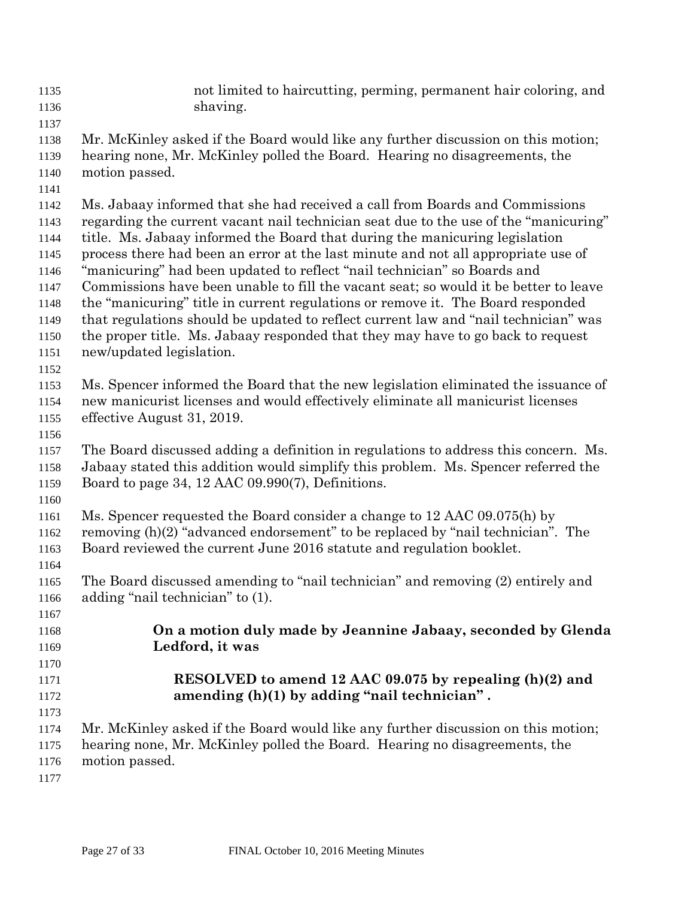- not limited to haircutting, perming, permanent hair coloring, and shaving.
- 
- Mr. McKinley asked if the Board would like any further discussion on this motion;
- hearing none, Mr. McKinley polled the Board. Hearing no disagreements, the motion passed.
- 

 Ms. Jabaay informed that she had received a call from Boards and Commissions regarding the current vacant nail technician seat due to the use of the "manicuring" title. Ms. Jabaay informed the Board that during the manicuring legislation process there had been an error at the last minute and not all appropriate use of "manicuring" had been updated to reflect "nail technician" so Boards and Commissions have been unable to fill the vacant seat; so would it be better to leave the "manicuring" title in current regulations or remove it. The Board responded that regulations should be updated to reflect current law and "nail technician" was the proper title. Ms. Jabaay responded that they may have to go back to request

new/updated legislation.

 Ms. Spencer informed the Board that the new legislation eliminated the issuance of new manicurist licenses and would effectively eliminate all manicurist licenses effective August 31, 2019.

 The Board discussed adding a definition in regulations to address this concern. Ms. Jabaay stated this addition would simplify this problem. Ms. Spencer referred the Board to page 34, 12 AAC 09.990(7), Definitions.

Ms. Spencer requested the Board consider a change to 12 AAC 09.075(h) by

removing (h)(2) "advanced endorsement" to be replaced by "nail technician". The

- Board reviewed the current June 2016 statute and regulation booklet.
- The Board discussed amending to "nail technician" and removing (2) entirely and adding "nail technician" to (1).
- **On a motion duly made by Jeannine Jabaay, seconded by Glenda Ledford, it was**
- **RESOLVED to amend 12 AAC 09.075 by repealing (h)(2) and amending (h)(1) by adding "nail technician" .**
- 

 Mr. McKinley asked if the Board would like any further discussion on this motion; hearing none, Mr. McKinley polled the Board. Hearing no disagreements, the

motion passed.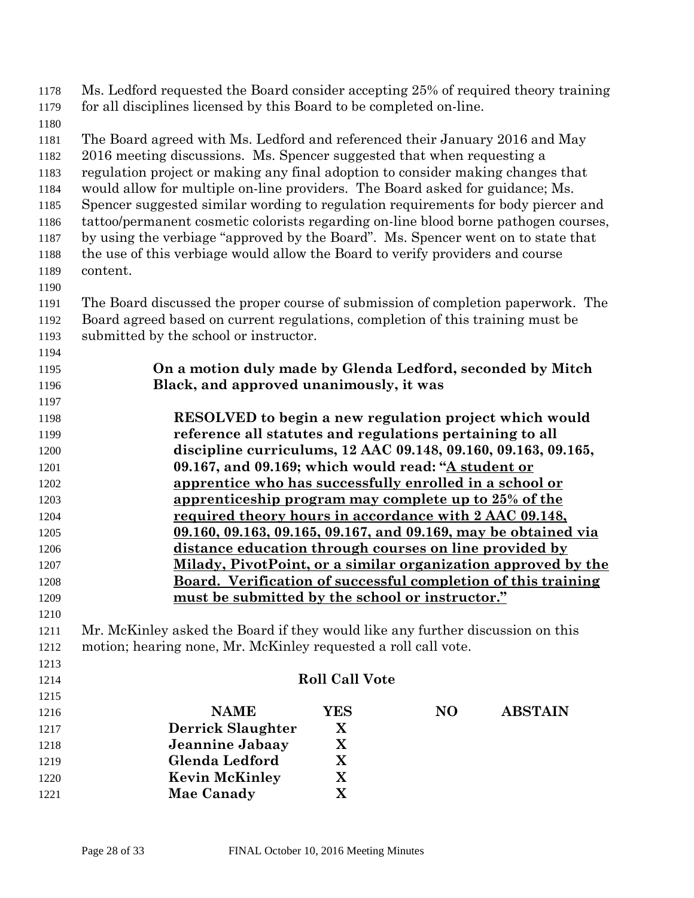| 1178<br>1179 | for all disciplines licensed by this Board to be completed on-line.                 |                       | Ms. Ledford requested the Board consider accepting 25% of required theory training                                             |
|--------------|-------------------------------------------------------------------------------------|-----------------------|--------------------------------------------------------------------------------------------------------------------------------|
| 1180         |                                                                                     |                       |                                                                                                                                |
| 1181         | The Board agreed with Ms. Ledford and referenced their January 2016 and May         |                       |                                                                                                                                |
| 1182         | 2016 meeting discussions. Ms. Spencer suggested that when requesting a              |                       |                                                                                                                                |
| 1183         | regulation project or making any final adoption to consider making changes that     |                       |                                                                                                                                |
| 1184         | would allow for multiple on-line providers. The Board asked for guidance; Ms.       |                       |                                                                                                                                |
| 1185         | Spencer suggested similar wording to regulation requirements for body piercer and   |                       |                                                                                                                                |
| 1186         | tattoo/permanent cosmetic colorists regarding on-line blood borne pathogen courses, |                       |                                                                                                                                |
| 1187         | by using the verbiage "approved by the Board". Ms. Spencer went on to state that    |                       |                                                                                                                                |
| 1188         | the use of this verbiage would allow the Board to verify providers and course       |                       |                                                                                                                                |
| 1189         | content.                                                                            |                       |                                                                                                                                |
| 1190         |                                                                                     |                       |                                                                                                                                |
| 1191         | The Board discussed the proper course of submission of completion paperwork. The    |                       |                                                                                                                                |
| 1192         | Board agreed based on current regulations, completion of this training must be      |                       |                                                                                                                                |
| 1193         | submitted by the school or instructor.                                              |                       |                                                                                                                                |
| 1194         |                                                                                     |                       |                                                                                                                                |
| 1195         |                                                                                     |                       | On a motion duly made by Glenda Ledford, seconded by Mitch                                                                     |
| 1196         | Black, and approved unanimously, it was                                             |                       |                                                                                                                                |
| 1197         |                                                                                     |                       |                                                                                                                                |
| 1198         |                                                                                     |                       | RESOLVED to begin a new regulation project which would                                                                         |
| 1199         |                                                                                     |                       | reference all statutes and regulations pertaining to all                                                                       |
| 1200         |                                                                                     |                       | discipline curriculums, 12 AAC 09.148, 09.160, 09.163, 09.165,                                                                 |
| 1201         |                                                                                     |                       | 09.167, and 09.169; which would read: "A student or                                                                            |
| 1202         |                                                                                     |                       | <u>apprentice who has successfully enrolled in a school or</u>                                                                 |
| 1203         |                                                                                     |                       | <u>apprenticeship program may complete up to 25% of the</u>                                                                    |
| 1204         |                                                                                     |                       | <u>required theory hours in accordance with 2 AAC 09.148.</u>                                                                  |
| 1205         |                                                                                     |                       | <u>09.160, 09.163, 09.165, 09.167, and 09.169, may be obtained via</u>                                                         |
| 1206         |                                                                                     |                       | distance education through courses on line provided by                                                                         |
| 1207         |                                                                                     |                       | Milady, PivotPoint, or a similar organization approved by the<br>Board. Verification of successful completion of this training |
| 1208         |                                                                                     |                       |                                                                                                                                |
| 1209         | must be submitted by the school or instructor."                                     |                       |                                                                                                                                |
| 1210<br>1211 | Mr. McKinley asked the Board if they would like any further discussion on this      |                       |                                                                                                                                |
| 1212         | motion; hearing none, Mr. McKinley requested a roll call vote.                      |                       |                                                                                                                                |
| 1213         |                                                                                     |                       |                                                                                                                                |
| 1214         |                                                                                     | <b>Roll Call Vote</b> |                                                                                                                                |
| 1215         |                                                                                     |                       |                                                                                                                                |
| 1216         | <b>NAME</b>                                                                         | <b>YES</b>            | N <sub>O</sub><br><b>ABSTAIN</b>                                                                                               |
| 1217         | <b>Derrick Slaughter</b>                                                            | X                     |                                                                                                                                |
| 1218         | Jeannine Jabaay                                                                     | X                     |                                                                                                                                |
| 1219         | Glenda Ledford                                                                      | X                     |                                                                                                                                |
| 1220         | <b>Kevin McKinley</b>                                                               | $\mathbf X$           |                                                                                                                                |
| 1221         | Mae Canady                                                                          | X                     |                                                                                                                                |
|              |                                                                                     |                       |                                                                                                                                |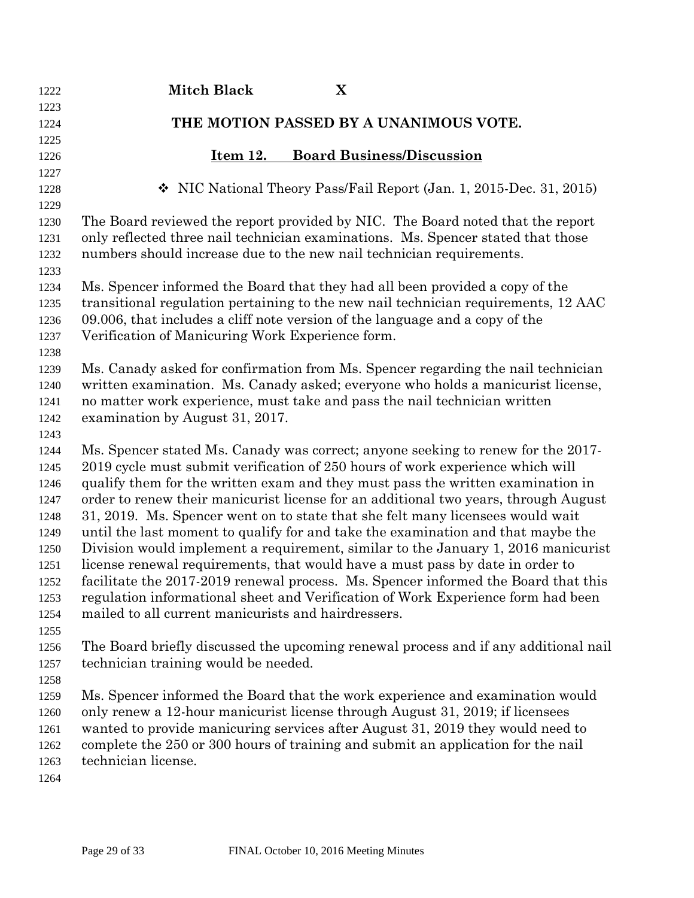| 1222         | <b>Mitch Black</b><br>X                                                                                                                                             |
|--------------|---------------------------------------------------------------------------------------------------------------------------------------------------------------------|
| 1223         |                                                                                                                                                                     |
| 1224         | THE MOTION PASSED BY A UNANIMOUS VOTE.                                                                                                                              |
| 1225         |                                                                                                                                                                     |
| 1226         | <b>Board Business/Discussion</b><br>Item 12.                                                                                                                        |
| 1227         |                                                                                                                                                                     |
| 1228         | • NIC National Theory Pass/Fail Report (Jan. 1, 2015-Dec. 31, 2015)                                                                                                 |
| 1229         |                                                                                                                                                                     |
| 1230         | The Board reviewed the report provided by NIC. The Board noted that the report                                                                                      |
| 1231         | only reflected three nail technician examinations. Ms. Spencer stated that those                                                                                    |
| 1232         | numbers should increase due to the new nail technician requirements.                                                                                                |
| 1233         |                                                                                                                                                                     |
| 1234         | Ms. Spencer informed the Board that they had all been provided a copy of the                                                                                        |
| 1235         | transitional regulation pertaining to the new nail technician requirements, 12 AAC                                                                                  |
| 1236         | 09.006, that includes a cliff note version of the language and a copy of the                                                                                        |
| 1237         | Verification of Manicuring Work Experience form.                                                                                                                    |
| 1238         |                                                                                                                                                                     |
| 1239         | Ms. Canady asked for confirmation from Ms. Spencer regarding the nail technician<br>written examination. Ms. Canady asked; everyone who holds a manicurist license, |
| 1240<br>1241 | no matter work experience, must take and pass the nail technician written                                                                                           |
| 1242         | examination by August 31, 2017.                                                                                                                                     |
| 1243         |                                                                                                                                                                     |
| 1244         | Ms. Spencer stated Ms. Canady was correct; anyone seeking to renew for the 2017-                                                                                    |
| 1245         | 2019 cycle must submit verification of 250 hours of work experience which will                                                                                      |
| 1246         | qualify them for the written exam and they must pass the written examination in                                                                                     |
| 1247         | order to renew their manicurist license for an additional two years, through August                                                                                 |
| 1248         | 31, 2019. Ms. Spencer went on to state that she felt many licensees would wait                                                                                      |
| 1249         | until the last moment to qualify for and take the examination and that maybe the                                                                                    |
| 1250         | Division would implement a requirement, similar to the January 1, 2016 manicurist                                                                                   |
| 1251         | license renewal requirements, that would have a must pass by date in order to                                                                                       |
| 1252         | facilitate the 2017-2019 renewal process. Ms. Spencer informed the Board that this                                                                                  |
| 1253         | regulation informational sheet and Verification of Work Experience form had been                                                                                    |
| 1254         | mailed to all current manicurists and hairdressers.                                                                                                                 |
| 1255         |                                                                                                                                                                     |
| 1256         | The Board briefly discussed the upcoming renewal process and if any additional nail                                                                                 |
| 1257         | technician training would be needed.                                                                                                                                |
| 1258         |                                                                                                                                                                     |
| 1259         | Ms. Spencer informed the Board that the work experience and examination would                                                                                       |
| 1260         | only renew a 12-hour manicurist license through August 31, 2019; if licensees                                                                                       |
| 1261         | wanted to provide manicuring services after August 31, 2019 they would need to                                                                                      |
| 1262         | complete the 250 or 300 hours of training and submit an application for the nail                                                                                    |
| 1263         | technician license.                                                                                                                                                 |
| 1264         |                                                                                                                                                                     |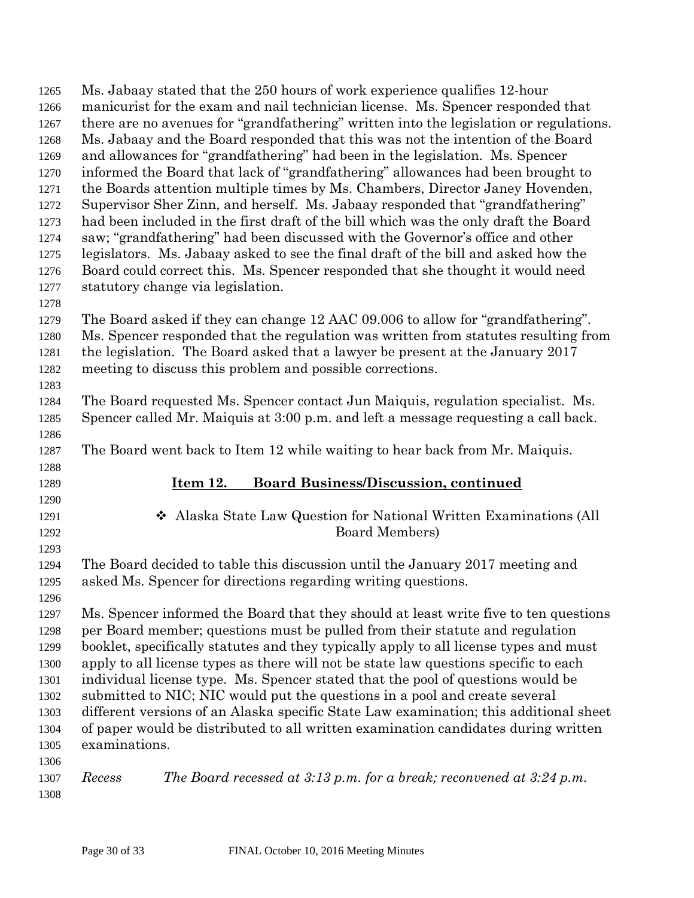| 1265         | Ms. Jabaay stated that the 250 hours of work experience qualifies 12-hour              |
|--------------|----------------------------------------------------------------------------------------|
| 1266         | manicurist for the exam and nail technician license. Ms. Spencer responded that        |
| 1267         | there are no avenues for "grandfathering" written into the legislation or regulations. |
| 1268         | Ms. Jabaay and the Board responded that this was not the intention of the Board        |
| 1269         | and allowances for "grandfathering" had been in the legislation. Ms. Spencer           |
| 1270         | informed the Board that lack of "grandfathering" allowances had been brought to        |
| 1271         | the Boards attention multiple times by Ms. Chambers, Director Janey Hovenden,          |
| 1272         | Supervisor Sher Zinn, and herself. Ms. Jabaay responded that "grandfathering"          |
| 1273         | had been included in the first draft of the bill which was the only draft the Board    |
| 1274         | saw; "grandfathering" had been discussed with the Governor's office and other          |
| 1275         | legislators. Ms. Jabaay asked to see the final draft of the bill and asked how the     |
| 1276         | Board could correct this. Ms. Spencer responded that she thought it would need         |
| 1277         | statutory change via legislation.                                                      |
| 1278         |                                                                                        |
| 1279         | The Board asked if they can change 12 AAC 09.006 to allow for "grandfathering".        |
| 1280         | Ms. Spencer responded that the regulation was written from statutes resulting from     |
| 1281         | the legislation. The Board asked that a lawyer be present at the January 2017          |
| 1282         | meeting to discuss this problem and possible corrections.                              |
| 1283         |                                                                                        |
|              | The Board requested Ms. Spencer contact Jun Maiquis, regulation specialist. Ms.        |
| 1284         | Spencer called Mr. Maiquis at 3:00 p.m. and left a message requesting a call back.     |
| 1285         |                                                                                        |
| 1286         | The Board went back to Item 12 while waiting to hear back from Mr. Maiquis.            |
| 1287<br>1288 |                                                                                        |
| 1289         | <b>Board Business/Discussion, continued</b><br>Item 12.                                |
| 1290         |                                                                                        |
| 1291         | Alaska State Law Question for National Written Examinations (All                       |
| 1292         | <b>Board Members</b> )                                                                 |
| 1293         |                                                                                        |
| 1294         | The Board decided to table this discussion until the January 2017 meeting and          |
| 1295         | asked Ms. Spencer for directions regarding writing questions.                          |
| 1296         |                                                                                        |
| 1297         | Ms. Spencer informed the Board that they should at least write five to ten questions   |
| 1298         | per Board member; questions must be pulled from their statute and regulation           |
| 1299         | booklet, specifically statutes and they typically apply to all license types and must  |
| 1300         | apply to all license types as there will not be state law questions specific to each   |
| 1301         | individual license type. Ms. Spencer stated that the pool of questions would be        |
| 1302         | submitted to NIC; NIC would put the questions in a pool and create several             |
| 1303         | different versions of an Alaska specific State Law examination; this additional sheet  |
| 1304         | of paper would be distributed to all written examination candidates during written     |
| 1305         | examinations.                                                                          |
| 1306         |                                                                                        |
| 1307         | Recess<br>The Board recessed at 3:13 p.m. for a break; reconvened at 3:24 p.m.         |
| 1308         |                                                                                        |
|              |                                                                                        |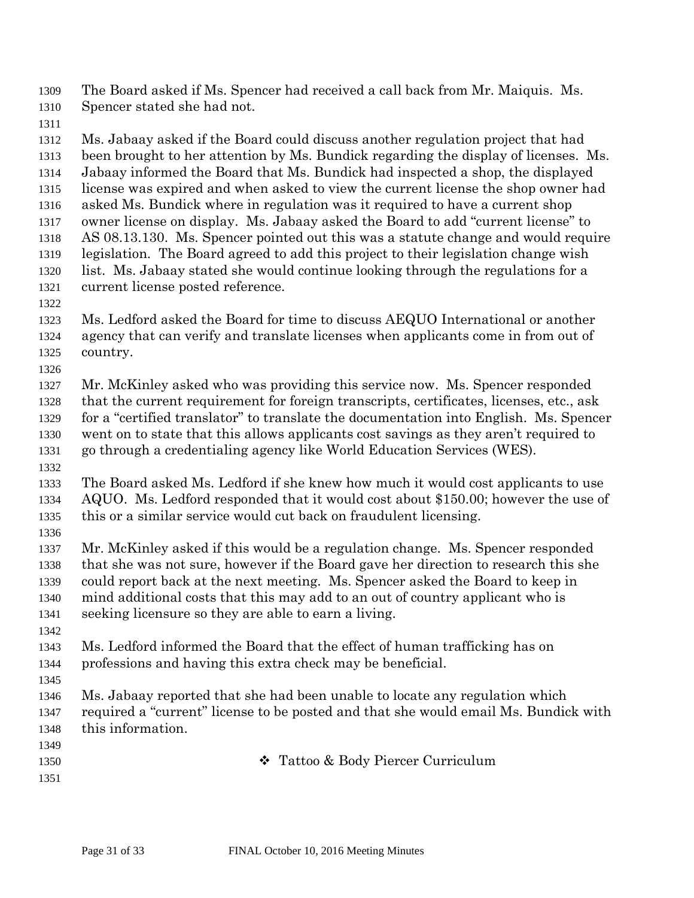The Board asked if Ms. Spencer had received a call back from Mr. Maiquis. Ms.

- Spencer stated she had not.
- 

 Ms. Jabaay asked if the Board could discuss another regulation project that had been brought to her attention by Ms. Bundick regarding the display of licenses. Ms. Jabaay informed the Board that Ms. Bundick had inspected a shop, the displayed license was expired and when asked to view the current license the shop owner had asked Ms. Bundick where in regulation was it required to have a current shop owner license on display. Ms. Jabaay asked the Board to add "current license" to AS 08.13.130. Ms. Spencer pointed out this was a statute change and would require legislation. The Board agreed to add this project to their legislation change wish list. Ms. Jabaay stated she would continue looking through the regulations for a current license posted reference. Ms. Ledford asked the Board for time to discuss AEQUO International or another agency that can verify and translate licenses when applicants come in from out of country.

 Mr. McKinley asked who was providing this service now. Ms. Spencer responded that the current requirement for foreign transcripts, certificates, licenses, etc., ask for a "certified translator" to translate the documentation into English. Ms. Spencer went on to state that this allows applicants cost savings as they aren't required to

- go through a credentialing agency like World Education Services (WES).
- 

 The Board asked Ms. Ledford if she knew how much it would cost applicants to use AQUO. Ms. Ledford responded that it would cost about \$150.00; however the use of this or a similar service would cut back on fraudulent licensing.

 Mr. McKinley asked if this would be a regulation change. Ms. Spencer responded that she was not sure, however if the Board gave her direction to research this she could report back at the next meeting. Ms. Spencer asked the Board to keep in mind additional costs that this may add to an out of country applicant who is seeking licensure so they are able to earn a living.

 Ms. Ledford informed the Board that the effect of human trafficking has on professions and having this extra check may be beneficial.

 Ms. Jabaay reported that she had been unable to locate any regulation which required a "current" license to be posted and that she would email Ms. Bundick with this information.

- **★ Tattoo & Body Piercer Curriculum**
-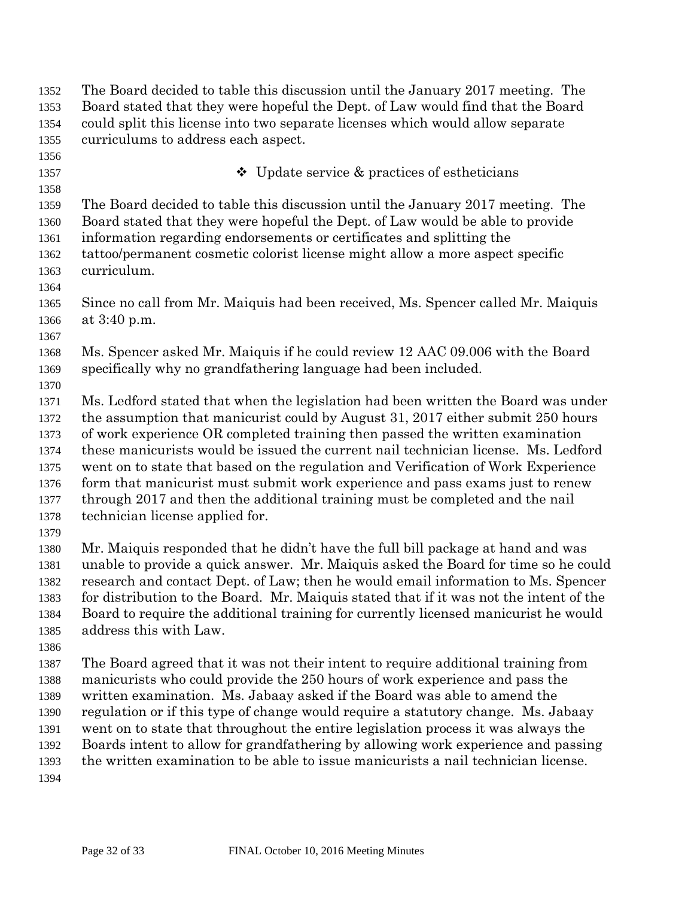| 1352 | The Board decided to table this discussion until the January 2017 meeting. The         |
|------|----------------------------------------------------------------------------------------|
| 1353 | Board stated that they were hopeful the Dept. of Law would find that the Board         |
| 1354 | could split this license into two separate licenses which would allow separate         |
| 1355 | curriculums to address each aspect.                                                    |
| 1356 |                                                                                        |
| 1357 | $\bullet$ Update service & practices of estheticians                                   |
| 1358 |                                                                                        |
| 1359 | The Board decided to table this discussion until the January 2017 meeting. The         |
| 1360 | Board stated that they were hopeful the Dept. of Law would be able to provide          |
| 1361 | information regarding endorsements or certificates and splitting the                   |
| 1362 | tattoo/permanent cosmetic colorist license might allow a more aspect specific          |
| 1363 | curriculum.                                                                            |
| 1364 |                                                                                        |
| 1365 | Since no call from Mr. Maiquis had been received, Ms. Spencer called Mr. Maiquis       |
| 1366 | at $3:40$ p.m.                                                                         |
| 1367 |                                                                                        |
| 1368 | Ms. Spencer asked Mr. Maiquis if he could review 12 AAC 09.006 with the Board          |
| 1369 | specifically why no grandfathering language had been included.                         |
| 1370 |                                                                                        |
| 1371 | Ms. Ledford stated that when the legislation had been written the Board was under      |
| 1372 | the assumption that manicurist could by August 31, 2017 either submit 250 hours        |
| 1373 | of work experience OR completed training then passed the written examination           |
| 1374 | these manicurists would be issued the current nail technician license. Ms. Ledford     |
| 1375 | went on to state that based on the regulation and Verification of Work Experience      |
| 1376 | form that manicurist must submit work experience and pass exams just to renew          |
| 1377 | through 2017 and then the additional training must be completed and the nail           |
| 1378 | technician license applied for.                                                        |
| 1379 |                                                                                        |
| 1380 | Mr. Maiquis responded that he didn't have the full bill package at hand and was        |
| 1381 | unable to provide a quick answer. Mr. Maiquis asked the Board for time so he could     |
| 1382 | research and contact Dept. of Law; then he would email information to Ms. Spencer      |
| 1383 | for distribution to the Board. Mr. Maiquis stated that if it was not the intent of the |
| 1384 | Board to require the additional training for currently licensed manicurist he would    |
| 1385 | address this with Law.                                                                 |
| 1386 |                                                                                        |
| 1387 | The Board agreed that it was not their intent to require additional training from      |
| 1388 | manicurists who could provide the 250 hours of work experience and pass the            |
| 1389 | written examination. Ms. Jabaay asked if the Board was able to amend the               |
| 1390 | regulation or if this type of change would require a statutory change. Ms. Jabaay      |
| 1391 | went on to state that throughout the entire legislation process it was always the      |
| 1392 | Boards intent to allow for grandfathering by allowing work experience and passing      |
| 1393 | the written examination to be able to issue manicurists a nail technician license.     |
| 1394 |                                                                                        |